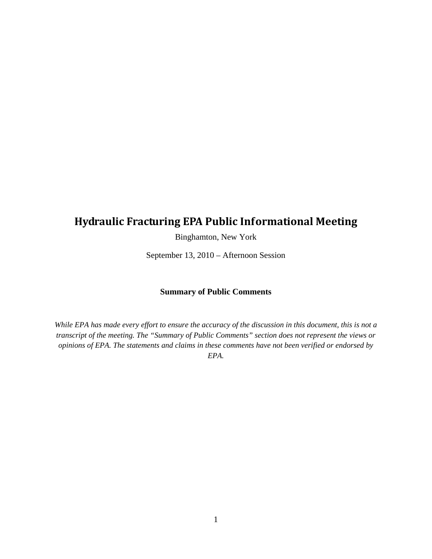## **Hydraulic Fracturing EPA Public Informational Meeting**

Binghamton, New York

September 13, 2010 – Afternoon Session

#### **Summary of Public Comments**

*While EPA has made every effort to ensure the accuracy of the discussion in this document, this is not a transcript of the meeting. The "Summary of Public Comments" section does not represent the views or opinions of EPA. The statements and claims in these comments have not been verified or endorsed by EPA.*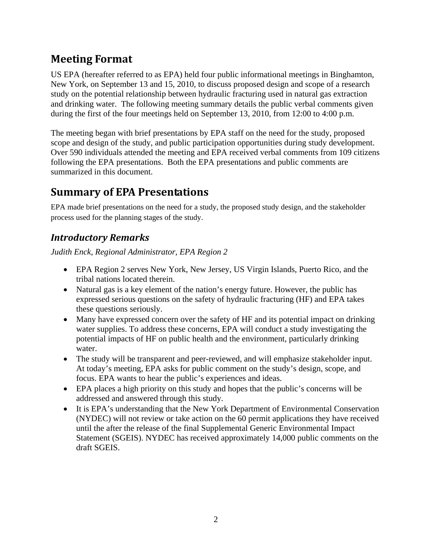# **Meeting Format**

US EPA (hereafter referred to as EPA) held four public informational meetings in Binghamton, New York, on September 13 and 15, 2010, to discuss proposed design and scope of a research study on the potential relationship between hydraulic fracturing used in natural gas extraction and drinking water. The following meeting summary details the public verbal comments given during the first of the four meetings held on September 13, 2010, from 12:00 to 4:00 p.m.

The meeting began with brief presentations by EPA staff on the need for the study, proposed scope and design of the study, and public participation opportunities during study development. Over 590 individuals attended the meeting and EPA received verbal comments from 109 citizens following the EPA presentations. Both the EPA presentations and public comments are summarized in this document.

## **Summary of EPA Presentations**

EPA made brief presentations on the need for a study, the proposed study design, and the stakeholder process used for the planning stages of the study.

## *Introductory Remarks*

*Judith Enck, Regional Administrator, EPA Region 2* 

- EPA Region 2 serves New York, New Jersey, US Virgin Islands, Puerto Rico, and the tribal nations located therein.
- Natural gas is a key element of the nation's energy future. However, the public has expressed serious questions on the safety of hydraulic fracturing (HF) and EPA takes these questions seriously.
- Many have expressed concern over the safety of HF and its potential impact on drinking water supplies. To address these concerns, EPA will conduct a study investigating the potential impacts of HF on public health and the environment, particularly drinking water.
- The study will be transparent and peer-reviewed, and will emphasize stakeholder input. At today's meeting, EPA asks for public comment on the study's design, scope, and focus. EPA wants to hear the public's experiences and ideas.
- EPA places a high priority on this study and hopes that the public's concerns will be addressed and answered through this study.
- It is EPA's understanding that the New York Department of Environmental Conservation (NYDEC) will not review or take action on the 60 permit applications they have received until the after the release of the final Supplemental Generic Environmental Impact Statement (SGEIS). NYDEC has received approximately 14,000 public comments on the draft SGEIS.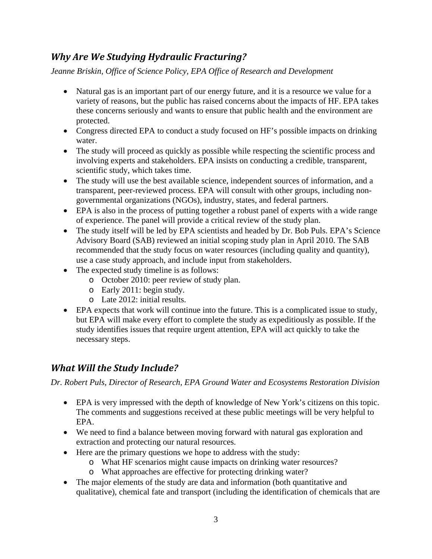### *Why Are We Studying Hydraulic Fracturing?*

*Jeanne Briskin, Office of Science Policy, EPA Office of Research and Development* 

- Natural gas is an important part of our energy future, and it is a resource we value for a variety of reasons, but the public has raised concerns about the impacts of HF. EPA takes these concerns seriously and wants to ensure that public health and the environment are protected.
- Congress directed EPA to conduct a study focused on HF's possible impacts on drinking water.
- The study will proceed as quickly as possible while respecting the scientific process and involving experts and stakeholders. EPA insists on conducting a credible, transparent, scientific study, which takes time.
- The study will use the best available science, independent sources of information, and a transparent, peer-reviewed process. EPA will consult with other groups, including nongovernmental organizations (NGOs), industry, states, and federal partners.
- EPA is also in the process of putting together a robust panel of experts with a wide range of experience. The panel will provide a critical review of the study plan.
- The study itself will be led by EPA scientists and headed by Dr. Bob Puls. EPA's Science Advisory Board (SAB) reviewed an initial scoping study plan in April 2010. The SAB recommended that the study focus on water resources (including quality and quantity), use a case study approach, and include input from stakeholders.
- The expected study timeline is as follows:
	- o October 2010: peer review of study plan.
	- o Early 2011: begin study.
	- o Late 2012: initial results.
- EPA expects that work will continue into the future. This is a complicated issue to study, but EPA will make every effort to complete the study as expeditiously as possible. If the study identifies issues that require urgent attention, EPA will act quickly to take the necessary steps.

### *What Will the Study Include?*

*Dr. Robert Puls, Director of Research, EPA Ground Water and Ecosystems Restoration Division* 

- EPA is very impressed with the depth of knowledge of New York's citizens on this topic. The comments and suggestions received at these public meetings will be very helpful to EPA.
- We need to find a balance between moving forward with natural gas exploration and extraction and protecting our natural resources.
- Here are the primary questions we hope to address with the study:
	- o What HF scenarios might cause impacts on drinking water resources?
	- o What approaches are effective for protecting drinking water?
- The major elements of the study are data and information (both quantitative and qualitative), chemical fate and transport (including the identification of chemicals that are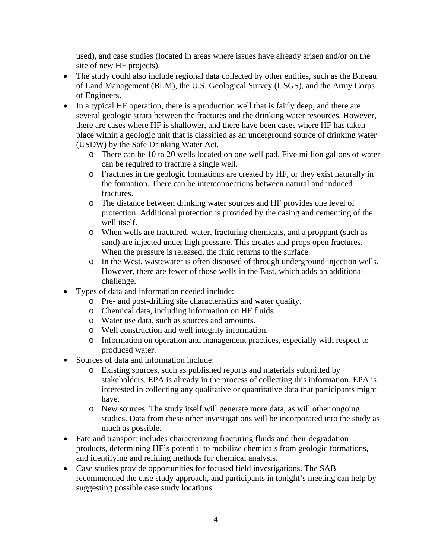used), and case studies (located in areas where issues have already arisen and/or on the site of new HF projects).

- The study could also include regional data collected by other entities, such as the Bureau of Land Management (BLM), the U.S. Geological Survey (USGS), and the Army Corps of Engineers.
- In a typical HF operation, there is a production well that is fairly deep, and there are several geologic strata between the fractures and the drinking water resources. However, there are cases where HF is shallower, and there have been cases where HF has taken place within a geologic unit that is classified as an underground source of drinking water (USDW) by the Safe Drinking Water Act.
	- o There can be 10 to 20 wells located on one well pad. Five million gallons of water can be required to fracture a single well.
	- o Fractures in the geologic formations are created by HF, or they exist naturally in the formation. There can be interconnections between natural and induced fractures.
	- o The distance between drinking water sources and HF provides one level of protection. Additional protection is provided by the casing and cementing of the well itself.
	- o When wells are fractured, water, fracturing chemicals, and a proppant (such as sand) are injected under high pressure. This creates and props open fractures. When the pressure is released, the fluid returns to the surface.
	- o In the West, wastewater is often disposed of through underground injection wells. However, there are fewer of those wells in the East, which adds an additional challenge.
- Types of data and information needed include:
	- o Pre- and post-drilling site characteristics and water quality.
	- o Chemical data, including information on HF fluids.
	- o Water use data, such as sources and amounts.
	- o Well construction and well integrity information.
	- o Information on operation and management practices, especially with respect to produced water.
- Sources of data and information include:
	- o Existing sources, such as published reports and materials submitted by stakeholders. EPA is already in the process of collecting this information. EPA is interested in collecting any qualitative or quantitative data that participants might have.
	- o New sources. The study itself will generate more data, as will other ongoing studies. Data from these other investigations will be incorporated into the study as much as possible.
- Fate and transport includes characterizing fracturing fluids and their degradation products, determining HF's potential to mobilize chemicals from geologic formations, and identifying and refining methods for chemical analysis.
- Case studies provide opportunities for focused field investigations. The SAB recommended the case study approach, and participants in tonight's meeting can help by suggesting possible case study locations.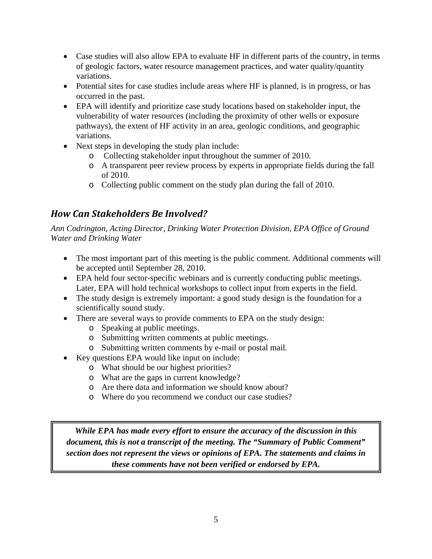- Case studies will also allow EPA to evaluate HF in different parts of the country, in terms of geologic factors, water resource management practices, and water quality/quantity variations.
- Potential sites for case studies include areas where HF is planned, is in progress, or has occurred in the past.
- EPA will identify and prioritize case study locations based on stakeholder input, the vulnerability of water resources (including the proximity of other wells or exposure pathways), the extent of HF activity in an area, geologic conditions, and geographic variations.
- Next steps in developing the study plan include:
	- o Collecting stakeholder input throughout the summer of 2010.
	- o A transparent peer review process by experts in appropriate fields during the fall of 2010.
	- o Collecting public comment on the study plan during the fall of 2010.

## *How Can Stakeholders Be Involved?*

*Ann Codrington, Acting Director, Drinking Water Protection Division, EPA Office of Ground Water and Drinking Water* 

- The most important part of this meeting is the public comment. Additional comments will be accepted until September 28, 2010.
- EPA held four sector-specific webinars and is currently conducting public meetings. Later, EPA will hold technical workshops to collect input from experts in the field.
- The study design is extremely important: a good study design is the foundation for a scientifically sound study.
- There are several ways to provide comments to EPA on the study design:
	- o Speaking at public meetings.
	- o Submitting written comments at public meetings.
	- o Submitting written comments by e-mail or postal mail.
- Key questions EPA would like input on include:
	- o What should be our highest priorities?
	- o What are the gaps in current knowledge?
	- o Are there data and information we should know about?
	- o Where do you recommend we conduct our case studies?

*While EPA has made every effort to ensure the accuracy of the discussion in this document, this is not a transcript of the meeting. The "Summary of Public Comment" section does not represent the views or opinions of EPA. The statements and claims in these comments have not been verified or endorsed by EPA.*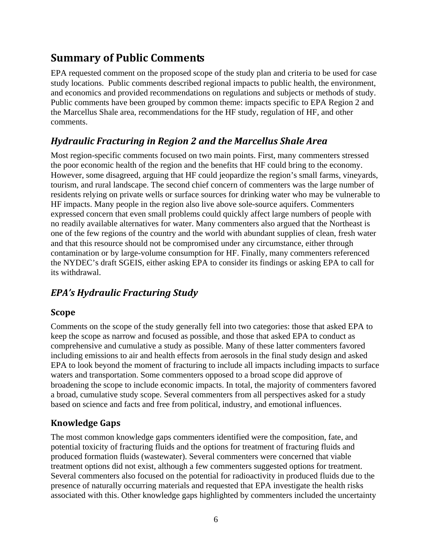# **Summary of Public Comments**

EPA requested comment on the proposed scope of the study plan and criteria to be used for case study locations. Public comments described regional impacts to public health, the environment, and economics and provided recommendations on regulations and subjects or methods of study. Public comments have been grouped by common theme: impacts specific to EPA Region 2 and the Marcellus Shale area, recommendations for the HF study, regulation of HF, and other comments.

## *Hydraulic Fracturing in Region 2 and the Marcellus Shale Area*

Most region-specific comments focused on two main points. First, many commenters stressed the poor economic health of the region and the benefits that HF could bring to the economy. However, some disagreed, arguing that HF could jeopardize the region's small farms, vineyards, tourism, and rural landscape. The second chief concern of commenters was the large number of residents relying on private wells or surface sources for drinking water who may be vulnerable to HF impacts. Many people in the region also live above sole-source aquifers. Commenters expressed concern that even small problems could quickly affect large numbers of people with no readily available alternatives for water. Many commenters also argued that the Northeast is one of the few regions of the country and the world with abundant supplies of clean, fresh water and that this resource should not be compromised under any circumstance, either through contamination or by large-volume consumption for HF. Finally, many commenters referenced the NYDEC's draft SGEIS, either asking EPA to consider its findings or asking EPA to call for its withdrawal.

## *EPA's Hydraulic Fracturing Study*

#### **Scope**

Comments on the scope of the study generally fell into two categories: those that asked EPA to keep the scope as narrow and focused as possible, and those that asked EPA to conduct as comprehensive and cumulative a study as possible. Many of these latter commenters favored including emissions to air and health effects from aerosols in the final study design and asked EPA to look beyond the moment of fracturing to include all impacts including impacts to surface waters and transportation. Some commenters opposed to a broad scope did approve of broadening the scope to include economic impacts. In total, the majority of commenters favored a broad, cumulative study scope. Several commenters from all perspectives asked for a study based on science and facts and free from political, industry, and emotional influences.

#### **Knowledge Gaps**

The most common knowledge gaps commenters identified were the composition, fate, and potential toxicity of fracturing fluids and the options for treatment of fracturing fluids and produced formation fluids (wastewater). Several commenters were concerned that viable treatment options did not exist, although a few commenters suggested options for treatment. Several commenters also focused on the potential for radioactivity in produced fluids due to the presence of naturally occurring materials and requested that EPA investigate the health risks associated with this. Other knowledge gaps highlighted by commenters included the uncertainty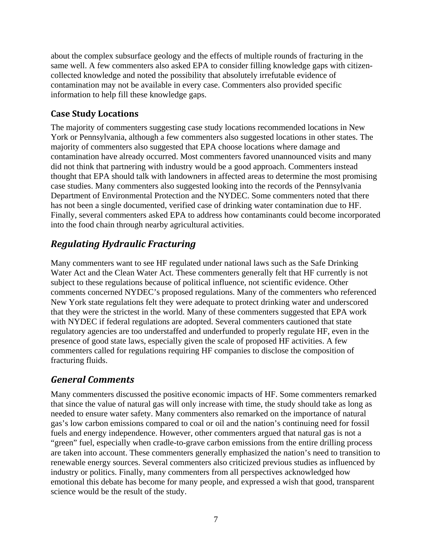about the complex subsurface geology and the effects of multiple rounds of fracturing in the same well. A few commenters also asked EPA to consider filling knowledge gaps with citizencollected knowledge and noted the possibility that absolutely irrefutable evidence of contamination may not be available in every case. Commenters also provided specific information to help fill these knowledge gaps.

#### **Case Study Locations**

The majority of commenters suggesting case study locations recommended locations in New York or Pennsylvania, although a few commenters also suggested locations in other states. The majority of commenters also suggested that EPA choose locations where damage and contamination have already occurred. Most commenters favored unannounced visits and many did not think that partnering with industry would be a good approach. Commenters instead thought that EPA should talk with landowners in affected areas to determine the most promising case studies. Many commenters also suggested looking into the records of the Pennsylvania Department of Environmental Protection and the NYDEC. Some commenters noted that there has not been a single documented, verified case of drinking water contamination due to HF. Finally, several commenters asked EPA to address how contaminants could become incorporated into the food chain through nearby agricultural activities.

## *Regulating Hydraulic Fracturing*

Many commenters want to see HF regulated under national laws such as the Safe Drinking Water Act and the Clean Water Act. These commenters generally felt that HF currently is not subject to these regulations because of political influence, not scientific evidence. Other comments concerned NYDEC's proposed regulations. Many of the commenters who referenced New York state regulations felt they were adequate to protect drinking water and underscored that they were the strictest in the world. Many of these commenters suggested that EPA work with NYDEC if federal regulations are adopted. Several commenters cautioned that state regulatory agencies are too understaffed and underfunded to properly regulate HF, even in the presence of good state laws, especially given the scale of proposed HF activities. A few commenters called for regulations requiring HF companies to disclose the composition of fracturing fluids.

### *General Comments*

Many commenters discussed the positive economic impacts of HF. Some commenters remarked that since the value of natural gas will only increase with time, the study should take as long as needed to ensure water safety. Many commenters also remarked on the importance of natural gas's low carbon emissions compared to coal or oil and the nation's continuing need for fossil fuels and energy independence. However, other commenters argued that natural gas is not a "green" fuel, especially when cradle-to-grave carbon emissions from the entire drilling process are taken into account. These commenters generally emphasized the nation's need to transition to renewable energy sources. Several commenters also criticized previous studies as influenced by industry or politics. Finally, many commenters from all perspectives acknowledged how emotional this debate has become for many people, and expressed a wish that good, transparent science would be the result of the study.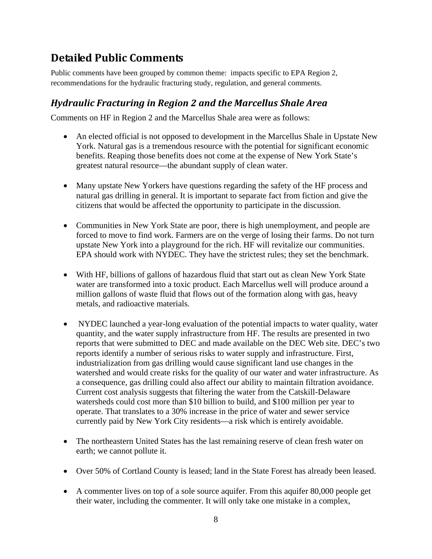## **Detailed Public Comments**

Public comments have been grouped by common theme: impacts specific to EPA Region 2, recommendations for the hydraulic fracturing study, regulation, and general comments.

### *Hydraulic Fracturing in Region 2 and the Marcellus Shale Area*

Comments on HF in Region 2 and the Marcellus Shale area were as follows:

- An elected official is not opposed to development in the Marcellus Shale in Upstate New York. Natural gas is a tremendous resource with the potential for significant economic benefits. Reaping those benefits does not come at the expense of New York State's greatest natural resource—the abundant supply of clean water.
- Many upstate New Yorkers have questions regarding the safety of the HF process and natural gas drilling in general. It is important to separate fact from fiction and give the citizens that would be affected the opportunity to participate in the discussion.
- Communities in New York State are poor, there is high unemployment, and people are forced to move to find work. Farmers are on the verge of losing their farms. Do not turn upstate New York into a playground for the rich. HF will revitalize our communities. EPA should work with NYDEC. They have the strictest rules; they set the benchmark.
- With HF, billions of gallons of hazardous fluid that start out as clean New York State water are transformed into a toxic product. Each Marcellus well will produce around a million gallons of waste fluid that flows out of the formation along with gas, heavy metals, and radioactive materials.
- NYDEC launched a year-long evaluation of the potential impacts to water quality, water quantity, and the water supply infrastructure from HF. The results are presented in two reports that were submitted to DEC and made available on the DEC Web site. DEC's two reports identify a number of serious risks to water supply and infrastructure. First, industrialization from gas drilling would cause significant land use changes in the watershed and would create risks for the quality of our water and water infrastructure. As a consequence, gas drilling could also affect our ability to maintain filtration avoidance. Current cost analysis suggests that filtering the water from the Catskill-Delaware watersheds could cost more than \$10 billion to build, and \$100 million per year to operate. That translates to a 30% increase in the price of water and sewer service currently paid by New York City residents—a risk which is entirely avoidable.
- The northeastern United States has the last remaining reserve of clean fresh water on earth; we cannot pollute it.
- Over 50% of Cortland County is leased; land in the State Forest has already been leased.
- A commenter lives on top of a sole source aquifer. From this aquifer 80,000 people get their water, including the commenter. It will only take one mistake in a complex,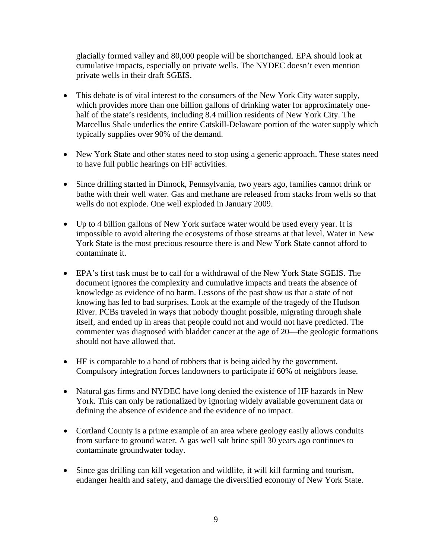glacially formed valley and 80,000 people will be shortchanged. EPA should look at cumulative impacts, especially on private wells. The NYDEC doesn't even mention private wells in their draft SGEIS.

- This debate is of vital interest to the consumers of the New York City water supply, which provides more than one billion gallons of drinking water for approximately onehalf of the state's residents, including 8.4 million residents of New York City. The Marcellus Shale underlies the entire Catskill-Delaware portion of the water supply which typically supplies over 90% of the demand.
- New York State and other states need to stop using a generic approach. These states need to have full public hearings on HF activities.
- Since drilling started in Dimock, Pennsylvania, two years ago, families cannot drink or bathe with their well water. Gas and methane are released from stacks from wells so that wells do not explode. One well exploded in January 2009.
- Up to 4 billion gallons of New York surface water would be used every year. It is impossible to avoid altering the ecosystems of those streams at that level. Water in New York State is the most precious resource there is and New York State cannot afford to contaminate it.
- EPA's first task must be to call for a withdrawal of the New York State SGEIS. The document ignores the complexity and cumulative impacts and treats the absence of knowledge as evidence of no harm. Lessons of the past show us that a state of not knowing has led to bad surprises. Look at the example of the tragedy of the Hudson River. PCBs traveled in ways that nobody thought possible, migrating through shale itself, and ended up in areas that people could not and would not have predicted. The commenter was diagnosed with bladder cancer at the age of 20—the geologic formations should not have allowed that.
- HF is comparable to a band of robbers that is being aided by the government. Compulsory integration forces landowners to participate if 60% of neighbors lease.
- Natural gas firms and NYDEC have long denied the existence of HF hazards in New York. This can only be rationalized by ignoring widely available government data or defining the absence of evidence and the evidence of no impact.
- Cortland County is a prime example of an area where geology easily allows conduits from surface to ground water. A gas well salt brine spill 30 years ago continues to contaminate groundwater today.
- Since gas drilling can kill vegetation and wildlife, it will kill farming and tourism, endanger health and safety, and damage the diversified economy of New York State.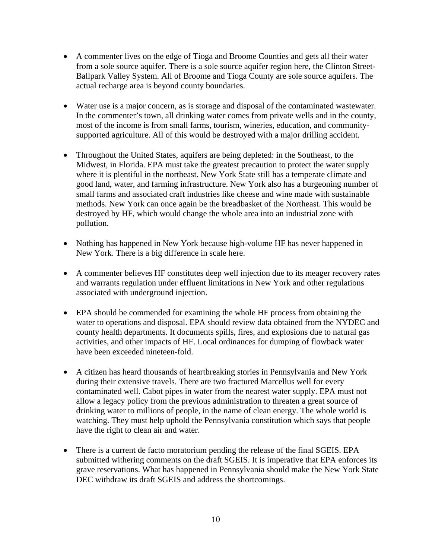- A commenter lives on the edge of Tioga and Broome Counties and gets all their water from a sole source aquifer. There is a sole source aquifer region here, the Clinton Street-Ballpark Valley System. All of Broome and Tioga County are sole source aquifers. The actual recharge area is beyond county boundaries.
- Water use is a major concern, as is storage and disposal of the contaminated wastewater. In the commenter's town, all drinking water comes from private wells and in the county, most of the income is from small farms, tourism, wineries, education, and communitysupported agriculture. All of this would be destroyed with a major drilling accident.
- Throughout the United States, aquifers are being depleted: in the Southeast, to the Midwest, in Florida. EPA must take the greatest precaution to protect the water supply where it is plentiful in the northeast. New York State still has a temperate climate and good land, water, and farming infrastructure. New York also has a burgeoning number of small farms and associated craft industries like cheese and wine made with sustainable methods. New York can once again be the breadbasket of the Northeast. This would be destroyed by HF, which would change the whole area into an industrial zone with pollution.
- Nothing has happened in New York because high-volume HF has never happened in New York. There is a big difference in scale here.
- A commenter believes HF constitutes deep well injection due to its meager recovery rates and warrants regulation under effluent limitations in New York and other regulations associated with underground injection.
- EPA should be commended for examining the whole HF process from obtaining the water to operations and disposal. EPA should review data obtained from the NYDEC and county health departments. It documents spills, fires, and explosions due to natural gas activities, and other impacts of HF. Local ordinances for dumping of flowback water have been exceeded nineteen-fold.
- A citizen has heard thousands of heartbreaking stories in Pennsylvania and New York during their extensive travels. There are two fractured Marcellus well for every contaminated well. Cabot pipes in water from the nearest water supply. EPA must not allow a legacy policy from the previous administration to threaten a great source of drinking water to millions of people, in the name of clean energy. The whole world is watching. They must help uphold the Pennsylvania constitution which says that people have the right to clean air and water.
- There is a current de facto moratorium pending the release of the final SGEIS. EPA submitted withering comments on the draft SGEIS. It is imperative that EPA enforces its grave reservations. What has happened in Pennsylvania should make the New York State DEC withdraw its draft SGEIS and address the shortcomings.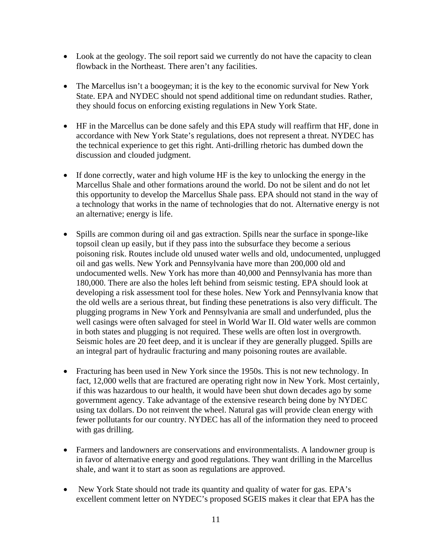- Look at the geology. The soil report said we currently do not have the capacity to clean flowback in the Northeast. There aren't any facilities.
- The Marcellus isn't a boogeyman; it is the key to the economic survival for New York State. EPA and NYDEC should not spend additional time on redundant studies. Rather, they should focus on enforcing existing regulations in New York State.
- HF in the Marcellus can be done safely and this EPA study will reaffirm that HF, done in accordance with New York State's regulations, does not represent a threat. NYDEC has the technical experience to get this right. Anti-drilling rhetoric has dumbed down the discussion and clouded judgment.
- If done correctly, water and high volume HF is the key to unlocking the energy in the Marcellus Shale and other formations around the world. Do not be silent and do not let this opportunity to develop the Marcellus Shale pass. EPA should not stand in the way of a technology that works in the name of technologies that do not. Alternative energy is not an alternative; energy is life.
- Spills are common during oil and gas extraction. Spills near the surface in sponge-like topsoil clean up easily, but if they pass into the subsurface they become a serious poisoning risk. Routes include old unused water wells and old, undocumented, unplugged oil and gas wells. New York and Pennsylvania have more than 200,000 old and undocumented wells. New York has more than 40,000 and Pennsylvania has more than 180,000. There are also the holes left behind from seismic testing. EPA should look at developing a risk assessment tool for these holes. New York and Pennsylvania know that the old wells are a serious threat, but finding these penetrations is also very difficult. The plugging programs in New York and Pennsylvania are small and underfunded, plus the well casings were often salvaged for steel in World War II. Old water wells are common in both states and plugging is not required. These wells are often lost in overgrowth. Seismic holes are 20 feet deep, and it is unclear if they are generally plugged. Spills are an integral part of hydraulic fracturing and many poisoning routes are available.
- Fracturing has been used in New York since the 1950s. This is not new technology. In fact, 12,000 wells that are fractured are operating right now in New York. Most certainly, if this was hazardous to our health, it would have been shut down decades ago by some government agency. Take advantage of the extensive research being done by NYDEC using tax dollars. Do not reinvent the wheel. Natural gas will provide clean energy with fewer pollutants for our country. NYDEC has all of the information they need to proceed with gas drilling.
- Farmers and landowners are conservations and environmentalists. A landowner group is in favor of alternative energy and good regulations. They want drilling in the Marcellus shale, and want it to start as soon as regulations are approved.
- New York State should not trade its quantity and quality of water for gas. EPA's excellent comment letter on NYDEC's proposed SGEIS makes it clear that EPA has the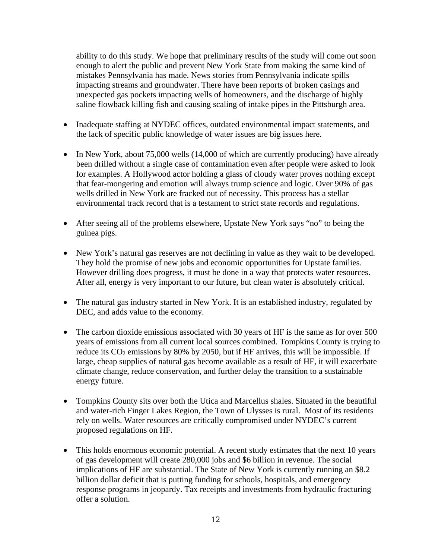ability to do this study. We hope that preliminary results of the study will come out soon enough to alert the public and prevent New York State from making the same kind of mistakes Pennsylvania has made. News stories from Pennsylvania indicate spills impacting streams and groundwater. There have been reports of broken casings and unexpected gas pockets impacting wells of homeowners, and the discharge of highly saline flowback killing fish and causing scaling of intake pipes in the Pittsburgh area.

- Inadequate staffing at NYDEC offices, outdated environmental impact statements, and the lack of specific public knowledge of water issues are big issues here.
- In New York, about 75,000 wells (14,000 of which are currently producing) have already been drilled without a single case of contamination even after people were asked to look for examples. A Hollywood actor holding a glass of cloudy water proves nothing except that fear-mongering and emotion will always trump science and logic. Over 90% of gas wells drilled in New York are fracked out of necessity. This process has a stellar environmental track record that is a testament to strict state records and regulations.
- After seeing all of the problems elsewhere, Upstate New York says "no" to being the guinea pigs.
- New York's natural gas reserves are not declining in value as they wait to be developed. They hold the promise of new jobs and economic opportunities for Upstate families. However drilling does progress, it must be done in a way that protects water resources. After all, energy is very important to our future, but clean water is absolutely critical.
- The natural gas industry started in New York. It is an established industry, regulated by DEC, and adds value to the economy.
- The carbon dioxide emissions associated with 30 years of HF is the same as for over 500 years of emissions from all current local sources combined. Tompkins County is trying to reduce its  $CO_2$  emissions by 80% by 2050, but if HF arrives, this will be impossible. If large, cheap supplies of natural gas become available as a result of HF, it will exacerbate climate change, reduce conservation, and further delay the transition to a sustainable energy future.
- Tompkins County sits over both the Utica and Marcellus shales. Situated in the beautiful and water-rich Finger Lakes Region, the Town of Ulysses is rural. Most of its residents rely on wells. Water resources are critically compromised under NYDEC's current proposed regulations on HF.
- This holds enormous economic potential. A recent study estimates that the next 10 years of gas development will create 280,000 jobs and \$6 billion in revenue. The social implications of HF are substantial. The State of New York is currently running an \$8.2 billion dollar deficit that is putting funding for schools, hospitals, and emergency response programs in jeopardy. Tax receipts and investments from hydraulic fracturing offer a solution.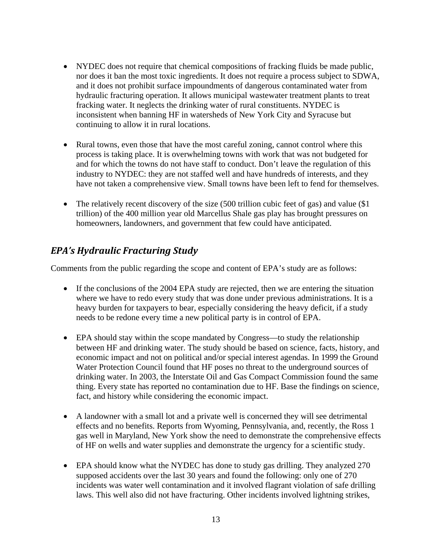- NYDEC does not require that chemical compositions of fracking fluids be made public, nor does it ban the most toxic ingredients. It does not require a process subject to SDWA, and it does not prohibit surface impoundments of dangerous contaminated water from hydraulic fracturing operation. It allows municipal wastewater treatment plants to treat fracking water. It neglects the drinking water of rural constituents. NYDEC is inconsistent when banning HF in watersheds of New York City and Syracuse but continuing to allow it in rural locations.
- Rural towns, even those that have the most careful zoning, cannot control where this process is taking place. It is overwhelming towns with work that was not budgeted for and for which the towns do not have staff to conduct. Don't leave the regulation of this industry to NYDEC: they are not staffed well and have hundreds of interests, and they have not taken a comprehensive view. Small towns have been left to fend for themselves.
- The relatively recent discovery of the size (500 trillion cubic feet of gas) and value (\$1) trillion) of the 400 million year old Marcellus Shale gas play has brought pressures on homeowners, landowners, and government that few could have anticipated.

#### *EPA's Hydraulic Fracturing Study*

Comments from the public regarding the scope and content of EPA's study are as follows:

- If the conclusions of the 2004 EPA study are rejected, then we are entering the situation where we have to redo every study that was done under previous administrations. It is a heavy burden for taxpayers to bear, especially considering the heavy deficit, if a study needs to be redone every time a new political party is in control of EPA.
- EPA should stay within the scope mandated by Congress—to study the relationship between HF and drinking water. The study should be based on science, facts, history, and economic impact and not on political and/or special interest agendas. In 1999 the Ground Water Protection Council found that HF poses no threat to the underground sources of drinking water. In 2003, the Interstate Oil and Gas Compact Commission found the same thing. Every state has reported no contamination due to HF. Base the findings on science, fact, and history while considering the economic impact.
- A landowner with a small lot and a private well is concerned they will see detrimental effects and no benefits. Reports from Wyoming, Pennsylvania, and, recently, the Ross 1 gas well in Maryland, New York show the need to demonstrate the comprehensive effects of HF on wells and water supplies and demonstrate the urgency for a scientific study.
- EPA should know what the NYDEC has done to study gas drilling. They analyzed 270 supposed accidents over the last 30 years and found the following: only one of 270 incidents was water well contamination and it involved flagrant violation of safe drilling laws. This well also did not have fracturing. Other incidents involved lightning strikes,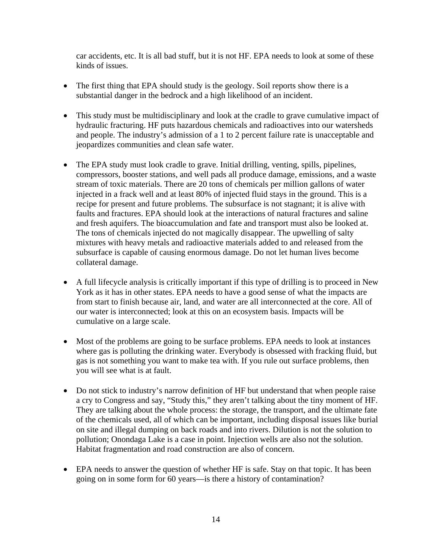car accidents, etc. It is all bad stuff, but it is not HF. EPA needs to look at some of these kinds of issues.

- The first thing that EPA should study is the geology. Soil reports show there is a substantial danger in the bedrock and a high likelihood of an incident.
- This study must be multidisciplinary and look at the cradle to grave cumulative impact of hydraulic fracturing. HF puts hazardous chemicals and radioactives into our watersheds and people. The industry's admission of a 1 to 2 percent failure rate is unacceptable and jeopardizes communities and clean safe water.
- The EPA study must look cradle to grave. Initial drilling, venting, spills, pipelines, compressors, booster stations, and well pads all produce damage, emissions, and a waste stream of toxic materials. There are 20 tons of chemicals per million gallons of water injected in a frack well and at least 80% of injected fluid stays in the ground. This is a recipe for present and future problems. The subsurface is not stagnant; it is alive with faults and fractures. EPA should look at the interactions of natural fractures and saline and fresh aquifers. The bioaccumulation and fate and transport must also be looked at. The tons of chemicals injected do not magically disappear. The upwelling of salty mixtures with heavy metals and radioactive materials added to and released from the subsurface is capable of causing enormous damage. Do not let human lives become collateral damage.
- A full lifecycle analysis is critically important if this type of drilling is to proceed in New York as it has in other states. EPA needs to have a good sense of what the impacts are from start to finish because air, land, and water are all interconnected at the core. All of our water is interconnected; look at this on an ecosystem basis. Impacts will be cumulative on a large scale.
- Most of the problems are going to be surface problems. EPA needs to look at instances where gas is polluting the drinking water. Everybody is obsessed with fracking fluid, but gas is not something you want to make tea with. If you rule out surface problems, then you will see what is at fault.
- Do not stick to industry's narrow definition of HF but understand that when people raise a cry to Congress and say, "Study this," they aren't talking about the tiny moment of HF. They are talking about the whole process: the storage, the transport, and the ultimate fate of the chemicals used, all of which can be important, including disposal issues like burial on site and illegal dumping on back roads and into rivers. Dilution is not the solution to pollution; Onondaga Lake is a case in point. Injection wells are also not the solution. Habitat fragmentation and road construction are also of concern.
- EPA needs to answer the question of whether HF is safe. Stay on that topic. It has been going on in some form for 60 years—is there a history of contamination?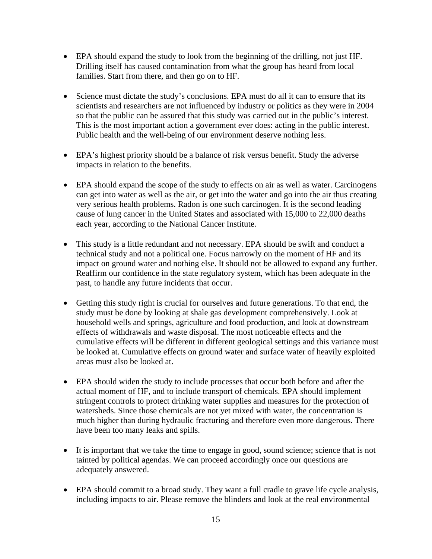- EPA should expand the study to look from the beginning of the drilling, not just HF. Drilling itself has caused contamination from what the group has heard from local families. Start from there, and then go on to HF.
- Science must dictate the study's conclusions. EPA must do all it can to ensure that its scientists and researchers are not influenced by industry or politics as they were in 2004 so that the public can be assured that this study was carried out in the public's interest. This is the most important action a government ever does: acting in the public interest. Public health and the well-being of our environment deserve nothing less.
- EPA's highest priority should be a balance of risk versus benefit. Study the adverse impacts in relation to the benefits.
- EPA should expand the scope of the study to effects on air as well as water. Carcinogens can get into water as well as the air, or get into the water and go into the air thus creating very serious health problems. Radon is one such carcinogen. It is the second leading cause of lung cancer in the United States and associated with 15,000 to 22,000 deaths each year, according to the National Cancer Institute.
- This study is a little redundant and not necessary. EPA should be swift and conduct a technical study and not a political one. Focus narrowly on the moment of HF and its impact on ground water and nothing else. It should not be allowed to expand any further. Reaffirm our confidence in the state regulatory system, which has been adequate in the past, to handle any future incidents that occur.
- Getting this study right is crucial for ourselves and future generations. To that end, the study must be done by looking at shale gas development comprehensively. Look at household wells and springs, agriculture and food production, and look at downstream effects of withdrawals and waste disposal. The most noticeable effects and the cumulative effects will be different in different geological settings and this variance must be looked at. Cumulative effects on ground water and surface water of heavily exploited areas must also be looked at.
- EPA should widen the study to include processes that occur both before and after the actual moment of HF, and to include transport of chemicals. EPA should implement stringent controls to protect drinking water supplies and measures for the protection of watersheds. Since those chemicals are not yet mixed with water, the concentration is much higher than during hydraulic fracturing and therefore even more dangerous. There have been too many leaks and spills.
- It is important that we take the time to engage in good, sound science; science that is not tainted by political agendas. We can proceed accordingly once our questions are adequately answered.
- EPA should commit to a broad study. They want a full cradle to grave life cycle analysis, including impacts to air. Please remove the blinders and look at the real environmental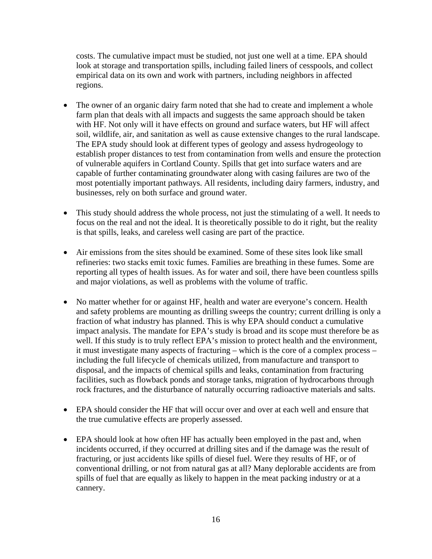costs. The cumulative impact must be studied, not just one well at a time. EPA should look at storage and transportation spills, including failed liners of cesspools, and collect empirical data on its own and work with partners, including neighbors in affected regions.

- The owner of an organic dairy farm noted that she had to create and implement a whole farm plan that deals with all impacts and suggests the same approach should be taken with HF. Not only will it have effects on ground and surface waters, but HF will affect soil, wildlife, air, and sanitation as well as cause extensive changes to the rural landscape. The EPA study should look at different types of geology and assess hydrogeology to establish proper distances to test from contamination from wells and ensure the protection of vulnerable aquifers in Cortland County. Spills that get into surface waters and are capable of further contaminating groundwater along with casing failures are two of the most potentially important pathways. All residents, including dairy farmers, industry, and businesses, rely on both surface and ground water.
- This study should address the whole process, not just the stimulating of a well. It needs to focus on the real and not the ideal. It is theoretically possible to do it right, but the reality is that spills, leaks, and careless well casing are part of the practice.
- Air emissions from the sites should be examined. Some of these sites look like small refineries: two stacks emit toxic fumes. Families are breathing in these fumes. Some are reporting all types of health issues. As for water and soil, there have been countless spills and major violations, as well as problems with the volume of traffic.
- No matter whether for or against HF, health and water are everyone's concern. Health and safety problems are mounting as drilling sweeps the country; current drilling is only a fraction of what industry has planned. This is why EPA should conduct a cumulative impact analysis. The mandate for EPA's study is broad and its scope must therefore be as well. If this study is to truly reflect EPA's mission to protect health and the environment, it must investigate many aspects of fracturing – which is the core of a complex process – including the full lifecycle of chemicals utilized, from manufacture and transport to disposal, and the impacts of chemical spills and leaks, contamination from fracturing facilities, such as flowback ponds and storage tanks, migration of hydrocarbons through rock fractures, and the disturbance of naturally occurring radioactive materials and salts.
- EPA should consider the HF that will occur over and over at each well and ensure that the true cumulative effects are properly assessed.
- EPA should look at how often HF has actually been employed in the past and, when incidents occurred, if they occurred at drilling sites and if the damage was the result of fracturing, or just accidents like spills of diesel fuel. Were they results of HF, or of conventional drilling, or not from natural gas at all? Many deplorable accidents are from spills of fuel that are equally as likely to happen in the meat packing industry or at a cannery.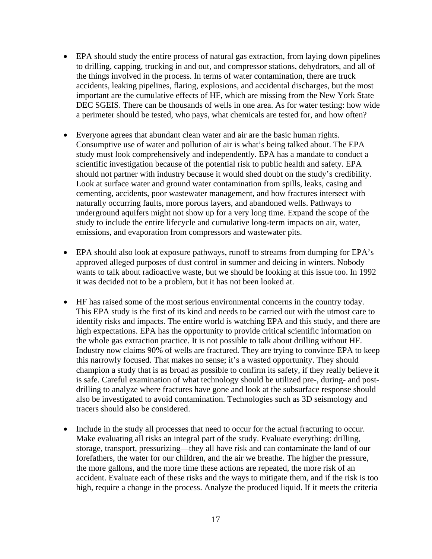- EPA should study the entire process of natural gas extraction, from laying down pipelines to drilling, capping, trucking in and out, and compressor stations, dehydrators, and all of the things involved in the process. In terms of water contamination, there are truck accidents, leaking pipelines, flaring, explosions, and accidental discharges, but the most important are the cumulative effects of HF, which are missing from the New York State DEC SGEIS. There can be thousands of wells in one area. As for water testing: how wide a perimeter should be tested, who pays, what chemicals are tested for, and how often?
- Everyone agrees that abundant clean water and air are the basic human rights. Consumptive use of water and pollution of air is what's being talked about. The EPA study must look comprehensively and independently. EPA has a mandate to conduct a scientific investigation because of the potential risk to public health and safety. EPA should not partner with industry because it would shed doubt on the study's credibility. Look at surface water and ground water contamination from spills, leaks, casing and cementing, accidents, poor wastewater management, and how fractures intersect with naturally occurring faults, more porous layers, and abandoned wells. Pathways to underground aquifers might not show up for a very long time. Expand the scope of the study to include the entire lifecycle and cumulative long-term impacts on air, water, emissions, and evaporation from compressors and wastewater pits.
- EPA should also look at exposure pathways, runoff to streams from dumping for EPA's approved alleged purposes of dust control in summer and deicing in winters. Nobody wants to talk about radioactive waste, but we should be looking at this issue too. In 1992 it was decided not to be a problem, but it has not been looked at.
- HF has raised some of the most serious environmental concerns in the country today. This EPA study is the first of its kind and needs to be carried out with the utmost care to identify risks and impacts. The entire world is watching EPA and this study, and there are high expectations. EPA has the opportunity to provide critical scientific information on the whole gas extraction practice. It is not possible to talk about drilling without HF. Industry now claims 90% of wells are fractured. They are trying to convince EPA to keep this narrowly focused. That makes no sense; it's a wasted opportunity. They should champion a study that is as broad as possible to confirm its safety, if they really believe it is safe. Careful examination of what technology should be utilized pre-, during- and postdrilling to analyze where fractures have gone and look at the subsurface response should also be investigated to avoid contamination. Technologies such as 3D seismology and tracers should also be considered.
- Include in the study all processes that need to occur for the actual fracturing to occur. Make evaluating all risks an integral part of the study. Evaluate everything: drilling, storage, transport, pressurizing—they all have risk and can contaminate the land of our forefathers, the water for our children, and the air we breathe. The higher the pressure, the more gallons, and the more time these actions are repeated, the more risk of an accident. Evaluate each of these risks and the ways to mitigate them, and if the risk is too high, require a change in the process. Analyze the produced liquid. If it meets the criteria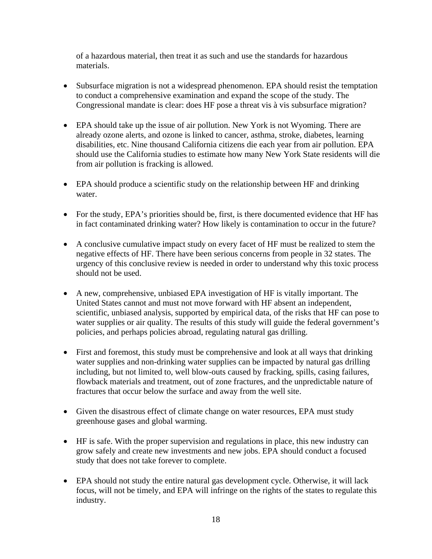of a hazardous material, then treat it as such and use the standards for hazardous materials.

- Subsurface migration is not a widespread phenomenon. EPA should resist the temptation to conduct a comprehensive examination and expand the scope of the study. The Congressional mandate is clear: does HF pose a threat vis à vis subsurface migration?
- EPA should take up the issue of air pollution. New York is not Wyoming. There are already ozone alerts, and ozone is linked to cancer, asthma, stroke, diabetes, learning disabilities, etc. Nine thousand California citizens die each year from air pollution. EPA should use the California studies to estimate how many New York State residents will die from air pollution is fracking is allowed.
- EPA should produce a scientific study on the relationship between HF and drinking water.
- For the study, EPA's priorities should be, first, is there documented evidence that HF has in fact contaminated drinking water? How likely is contamination to occur in the future?
- A conclusive cumulative impact study on every facet of HF must be realized to stem the negative effects of HF. There have been serious concerns from people in 32 states. The urgency of this conclusive review is needed in order to understand why this toxic process should not be used.
- A new, comprehensive, unbiased EPA investigation of HF is vitally important. The United States cannot and must not move forward with HF absent an independent, scientific, unbiased analysis, supported by empirical data, of the risks that HF can pose to water supplies or air quality. The results of this study will guide the federal government's policies, and perhaps policies abroad, regulating natural gas drilling.
- First and foremost, this study must be comprehensive and look at all ways that drinking water supplies and non-drinking water supplies can be impacted by natural gas drilling including, but not limited to, well blow-outs caused by fracking, spills, casing failures, flowback materials and treatment, out of zone fractures, and the unpredictable nature of fractures that occur below the surface and away from the well site.
- Given the disastrous effect of climate change on water resources, EPA must study greenhouse gases and global warming.
- HF is safe. With the proper supervision and regulations in place, this new industry can grow safely and create new investments and new jobs. EPA should conduct a focused study that does not take forever to complete.
- EPA should not study the entire natural gas development cycle. Otherwise, it will lack focus, will not be timely, and EPA will infringe on the rights of the states to regulate this industry.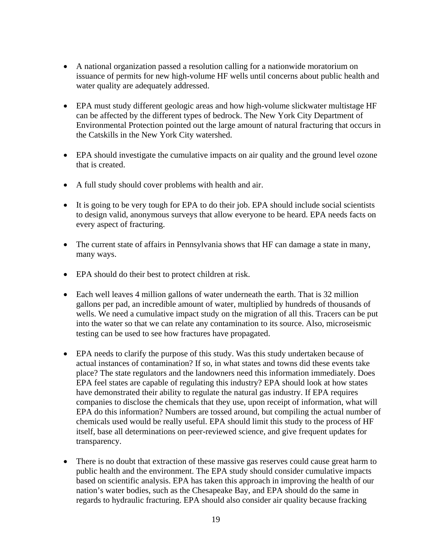- A national organization passed a resolution calling for a nationwide moratorium on issuance of permits for new high-volume HF wells until concerns about public health and water quality are adequately addressed.
- EPA must study different geologic areas and how high-volume slickwater multistage HF can be affected by the different types of bedrock. The New York City Department of Environmental Protection pointed out the large amount of natural fracturing that occurs in the Catskills in the New York City watershed.
- EPA should investigate the cumulative impacts on air quality and the ground level ozone that is created.
- A full study should cover problems with health and air.
- It is going to be very tough for EPA to do their job. EPA should include social scientists to design valid, anonymous surveys that allow everyone to be heard. EPA needs facts on every aspect of fracturing.
- The current state of affairs in Pennsylvania shows that HF can damage a state in many, many ways.
- EPA should do their best to protect children at risk.
- Each well leaves 4 million gallons of water underneath the earth. That is 32 million gallons per pad, an incredible amount of water, multiplied by hundreds of thousands of wells. We need a cumulative impact study on the migration of all this. Tracers can be put into the water so that we can relate any contamination to its source. Also, microseismic testing can be used to see how fractures have propagated.
- EPA needs to clarify the purpose of this study. Was this study undertaken because of actual instances of contamination? If so, in what states and towns did these events take place? The state regulators and the landowners need this information immediately. Does EPA feel states are capable of regulating this industry? EPA should look at how states have demonstrated their ability to regulate the natural gas industry. If EPA requires companies to disclose the chemicals that they use, upon receipt of information, what will EPA do this information? Numbers are tossed around, but compiling the actual number of chemicals used would be really useful. EPA should limit this study to the process of HF itself, base all determinations on peer-reviewed science, and give frequent updates for transparency.
- There is no doubt that extraction of these massive gas reserves could cause great harm to public health and the environment. The EPA study should consider cumulative impacts based on scientific analysis. EPA has taken this approach in improving the health of our nation's water bodies, such as the Chesapeake Bay, and EPA should do the same in regards to hydraulic fracturing. EPA should also consider air quality because fracking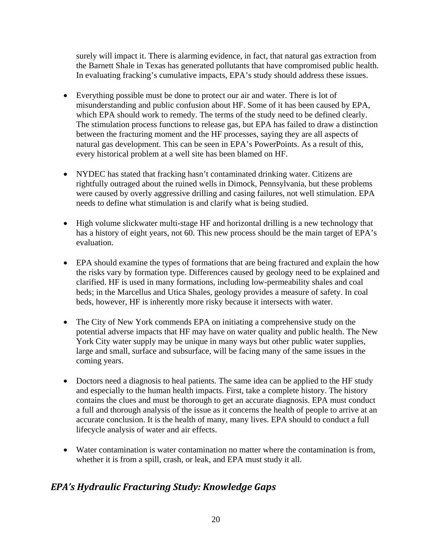surely will impact it. There is alarming evidence, in fact, that natural gas extraction from the Barnett Shale in Texas has generated pollutants that have compromised public health. In evaluating fracking's cumulative impacts, EPA's study should address these issues.

- Everything possible must be done to protect our air and water. There is lot of misunderstanding and public confusion about HF. Some of it has been caused by EPA, which EPA should work to remedy. The terms of the study need to be defined clearly. The stimulation process functions to release gas, but EPA has failed to draw a distinction between the fracturing moment and the HF processes, saying they are all aspects of natural gas development. This can be seen in EPA's PowerPoints. As a result of this, every historical problem at a well site has been blamed on HF.
- NYDEC has stated that fracking hasn't contaminated drinking water. Citizens are rightfully outraged about the ruined wells in Dimock, Pennsylvania, but these problems were caused by overly aggressive drilling and casing failures, not well stimulation. EPA needs to define what stimulation is and clarify what is being studied.
- High volume slickwater multi-stage HF and horizontal drilling is a new technology that has a history of eight years, not 60. This new process should be the main target of EPA's evaluation.
- EPA should examine the types of formations that are being fractured and explain the how the risks vary by formation type. Differences caused by geology need to be explained and clarified. HF is used in many formations, including low-permeability shales and coal beds; in the Marcellus and Utica Shales, geology provides a measure of safety. In coal beds, however, HF is inherently more risky because it intersects with water.
- The City of New York commends EPA on initiating a comprehensive study on the potential adverse impacts that HF may have on water quality and public health. The New York City water supply may be unique in many ways but other public water supplies, large and small, surface and subsurface, will be facing many of the same issues in the coming years.
- Doctors need a diagnosis to heal patients. The same idea can be applied to the HF study and especially to the human health impacts. First, take a complete history. The history contains the clues and must be thorough to get an accurate diagnosis. EPA must conduct a full and thorough analysis of the issue as it concerns the health of people to arrive at an accurate conclusion. It is the health of many, many lives. EPA should to conduct a full lifecycle analysis of water and air effects.
- Water contamination is water contamination no matter where the contamination is from, whether it is from a spill, crash, or leak, and EPA must study it all.

### *EPA's Hydraulic Fracturing Study: Knowledge Gaps*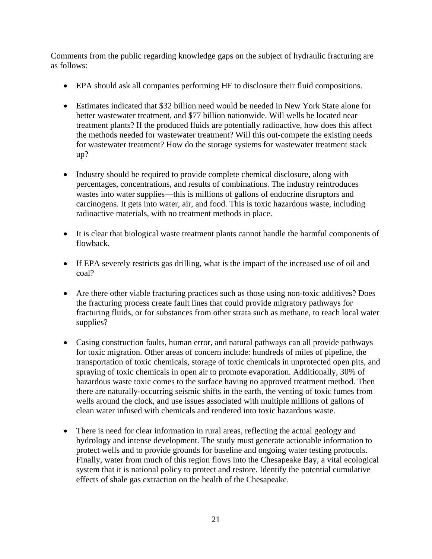Comments from the public regarding knowledge gaps on the subject of hydraulic fracturing are as follows:

- EPA should ask all companies performing HF to disclosure their fluid compositions.
- Estimates indicated that \$32 billion need would be needed in New York State alone for better wastewater treatment, and \$77 billion nationwide. Will wells be located near treatment plants? If the produced fluids are potentially radioactive, how does this affect the methods needed for wastewater treatment? Will this out-compete the existing needs for wastewater treatment? How do the storage systems for wastewater treatment stack up?
- Industry should be required to provide complete chemical disclosure, along with percentages, concentrations, and results of combinations. The industry reintroduces wastes into water supplies—this is millions of gallons of endocrine disruptors and carcinogens. It gets into water, air, and food. This is toxic hazardous waste, including radioactive materials, with no treatment methods in place.
- It is clear that biological waste treatment plants cannot handle the harmful components of flowback.
- If EPA severely restricts gas drilling, what is the impact of the increased use of oil and coal?
- Are there other viable fracturing practices such as those using non-toxic additives? Does the fracturing process create fault lines that could provide migratory pathways for fracturing fluids, or for substances from other strata such as methane, to reach local water supplies?
- Casing construction faults, human error, and natural pathways can all provide pathways for toxic migration. Other areas of concern include: hundreds of miles of pipeline, the transportation of toxic chemicals, storage of toxic chemicals in unprotected open pits, and spraying of toxic chemicals in open air to promote evaporation. Additionally, 30% of hazardous waste toxic comes to the surface having no approved treatment method. Then there are naturally-occurring seismic shifts in the earth, the venting of toxic fumes from wells around the clock, and use issues associated with multiple millions of gallons of clean water infused with chemicals and rendered into toxic hazardous waste.
- There is need for clear information in rural areas, reflecting the actual geology and hydrology and intense development. The study must generate actionable information to protect wells and to provide grounds for baseline and ongoing water testing protocols. Finally, water from much of this region flows into the Chesapeake Bay, a vital ecological system that it is national policy to protect and restore. Identify the potential cumulative effects of shale gas extraction on the health of the Chesapeake.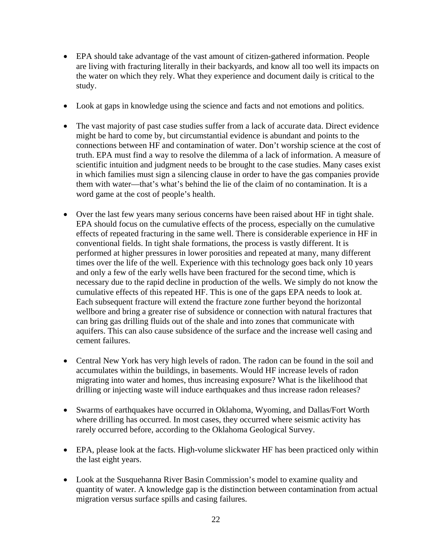- EPA should take advantage of the vast amount of citizen-gathered information. People are living with fracturing literally in their backyards, and know all too well its impacts on the water on which they rely. What they experience and document daily is critical to the study.
- Look at gaps in knowledge using the science and facts and not emotions and politics.
- The vast majority of past case studies suffer from a lack of accurate data. Direct evidence might be hard to come by, but circumstantial evidence is abundant and points to the connections between HF and contamination of water. Don't worship science at the cost of truth. EPA must find a way to resolve the dilemma of a lack of information. A measure of scientific intuition and judgment needs to be brought to the case studies. Many cases exist in which families must sign a silencing clause in order to have the gas companies provide them with water—that's what's behind the lie of the claim of no contamination. It is a word game at the cost of people's health.
- Over the last few years many serious concerns have been raised about HF in tight shale. EPA should focus on the cumulative effects of the process, especially on the cumulative effects of repeated fracturing in the same well. There is considerable experience in HF in conventional fields. In tight shale formations, the process is vastly different. It is performed at higher pressures in lower porosities and repeated at many, many different times over the life of the well. Experience with this technology goes back only 10 years and only a few of the early wells have been fractured for the second time, which is necessary due to the rapid decline in production of the wells. We simply do not know the cumulative effects of this repeated HF. This is one of the gaps EPA needs to look at. Each subsequent fracture will extend the fracture zone further beyond the horizontal wellbore and bring a greater rise of subsidence or connection with natural fractures that can bring gas drilling fluids out of the shale and into zones that communicate with aquifers. This can also cause subsidence of the surface and the increase well casing and cement failures.
- Central New York has very high levels of radon. The radon can be found in the soil and accumulates within the buildings, in basements. Would HF increase levels of radon migrating into water and homes, thus increasing exposure? What is the likelihood that drilling or injecting waste will induce earthquakes and thus increase radon releases?
- Swarms of earthquakes have occurred in Oklahoma, Wyoming, and Dallas/Fort Worth where drilling has occurred. In most cases, they occurred where seismic activity has rarely occurred before, according to the Oklahoma Geological Survey.
- EPA, please look at the facts. High-volume slickwater HF has been practiced only within the last eight years.
- Look at the Susquehanna River Basin Commission's model to examine quality and quantity of water. A knowledge gap is the distinction between contamination from actual migration versus surface spills and casing failures.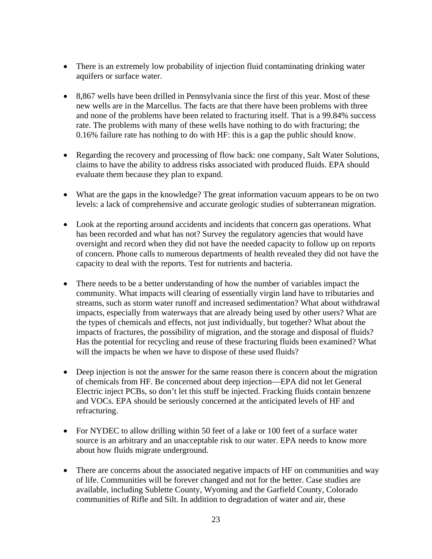- There is an extremely low probability of injection fluid contaminating drinking water aquifers or surface water.
- 8,867 wells have been drilled in Pennsylvania since the first of this year. Most of these new wells are in the Marcellus. The facts are that there have been problems with three and none of the problems have been related to fracturing itself. That is a 99.84% success rate. The problems with many of these wells have nothing to do with fracturing; the 0.16% failure rate has nothing to do with HF: this is a gap the public should know.
- Regarding the recovery and processing of flow back: one company, Salt Water Solutions, claims to have the ability to address risks associated with produced fluids. EPA should evaluate them because they plan to expand.
- What are the gaps in the knowledge? The great information vacuum appears to be on two levels: a lack of comprehensive and accurate geologic studies of subterranean migration.
- Look at the reporting around accidents and incidents that concern gas operations. What has been recorded and what has not? Survey the regulatory agencies that would have oversight and record when they did not have the needed capacity to follow up on reports of concern. Phone calls to numerous departments of health revealed they did not have the capacity to deal with the reports. Test for nutrients and bacteria.
- There needs to be a better understanding of how the number of variables impact the community. What impacts will clearing of essentially virgin land have to tributaries and streams, such as storm water runoff and increased sedimentation? What about withdrawal impacts, especially from waterways that are already being used by other users? What are the types of chemicals and effects, not just individually, but together? What about the impacts of fractures, the possibility of migration, and the storage and disposal of fluids? Has the potential for recycling and reuse of these fracturing fluids been examined? What will the impacts be when we have to dispose of these used fluids?
- Deep injection is not the answer for the same reason there is concern about the migration of chemicals from HF. Be concerned about deep injection—EPA did not let General Electric inject PCBs, so don't let this stuff be injected. Fracking fluids contain benzene and VOCs. EPA should be seriously concerned at the anticipated levels of HF and refracturing.
- For NYDEC to allow drilling within 50 feet of a lake or 100 feet of a surface water source is an arbitrary and an unacceptable risk to our water. EPA needs to know more about how fluids migrate underground.
- There are concerns about the associated negative impacts of HF on communities and way of life. Communities will be forever changed and not for the better. Case studies are available, including Sublette County, Wyoming and the Garfield County, Colorado communities of Rifle and Silt. In addition to degradation of water and air, these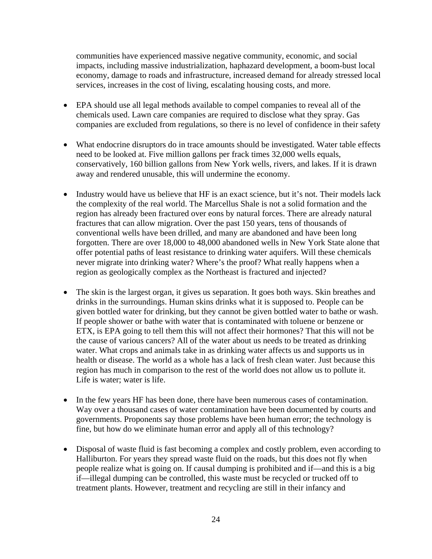communities have experienced massive negative community, economic, and social impacts, including massive industrialization, haphazard development, a boom-bust local economy, damage to roads and infrastructure, increased demand for already stressed local services, increases in the cost of living, escalating housing costs, and more.

- EPA should use all legal methods available to compel companies to reveal all of the chemicals used. Lawn care companies are required to disclose what they spray. Gas companies are excluded from regulations, so there is no level of confidence in their safety
- What endocrine disruptors do in trace amounts should be investigated. Water table effects need to be looked at. Five million gallons per frack times 32,000 wells equals, conservatively, 160 billion gallons from New York wells, rivers, and lakes. If it is drawn away and rendered unusable, this will undermine the economy.
- Industry would have us believe that HF is an exact science, but it's not. Their models lack the complexity of the real world. The Marcellus Shale is not a solid formation and the region has already been fractured over eons by natural forces. There are already natural fractures that can allow migration. Over the past 150 years, tens of thousands of conventional wells have been drilled, and many are abandoned and have been long forgotten. There are over 18,000 to 48,000 abandoned wells in New York State alone that offer potential paths of least resistance to drinking water aquifers. Will these chemicals never migrate into drinking water? Where's the proof? What really happens when a region as geologically complex as the Northeast is fractured and injected?
- The skin is the largest organ, it gives us separation. It goes both ways. Skin breathes and drinks in the surroundings. Human skins drinks what it is supposed to. People can be given bottled water for drinking, but they cannot be given bottled water to bathe or wash. If people shower or bathe with water that is contaminated with toluene or benzene or ETX, is EPA going to tell them this will not affect their hormones? That this will not be the cause of various cancers? All of the water about us needs to be treated as drinking water. What crops and animals take in as drinking water affects us and supports us in health or disease. The world as a whole has a lack of fresh clean water. Just because this region has much in comparison to the rest of the world does not allow us to pollute it. Life is water; water is life.
- In the few years HF has been done, there have been numerous cases of contamination. Way over a thousand cases of water contamination have been documented by courts and governments. Proponents say those problems have been human error; the technology is fine, but how do we eliminate human error and apply all of this technology?
- Disposal of waste fluid is fast becoming a complex and costly problem, even according to Halliburton. For years they spread waste fluid on the roads, but this does not fly when people realize what is going on. If causal dumping is prohibited and if—and this is a big if—illegal dumping can be controlled, this waste must be recycled or trucked off to treatment plants. However, treatment and recycling are still in their infancy and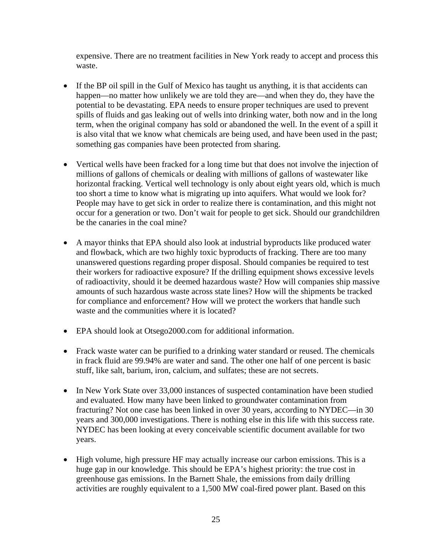expensive. There are no treatment facilities in New York ready to accept and process this waste.

- If the BP oil spill in the Gulf of Mexico has taught us anything, it is that accidents can happen—no matter how unlikely we are told they are—and when they do, they have the potential to be devastating. EPA needs to ensure proper techniques are used to prevent spills of fluids and gas leaking out of wells into drinking water, both now and in the long term, when the original company has sold or abandoned the well. In the event of a spill it is also vital that we know what chemicals are being used, and have been used in the past; something gas companies have been protected from sharing.
- Vertical wells have been fracked for a long time but that does not involve the injection of millions of gallons of chemicals or dealing with millions of gallons of wastewater like horizontal fracking. Vertical well technology is only about eight years old, which is much too short a time to know what is migrating up into aquifers. What would we look for? People may have to get sick in order to realize there is contamination, and this might not occur for a generation or two. Don't wait for people to get sick. Should our grandchildren be the canaries in the coal mine?
- A mayor thinks that EPA should also look at industrial byproducts like produced water and flowback, which are two highly toxic byproducts of fracking. There are too many unanswered questions regarding proper disposal. Should companies be required to test their workers for radioactive exposure? If the drilling equipment shows excessive levels of radioactivity, should it be deemed hazardous waste? How will companies ship massive amounts of such hazardous waste across state lines? How will the shipments be tracked for compliance and enforcement? How will we protect the workers that handle such waste and the communities where it is located?
- EPA should look at Otsego2000.com for additional information.
- Frack waste water can be purified to a drinking water standard or reused. The chemicals in frack fluid are 99.94% are water and sand. The other one half of one percent is basic stuff, like salt, barium, iron, calcium, and sulfates; these are not secrets.
- In New York State over 33,000 instances of suspected contamination have been studied and evaluated. How many have been linked to groundwater contamination from fracturing? Not one case has been linked in over 30 years, according to NYDEC—in 30 years and 300,000 investigations. There is nothing else in this life with this success rate. NYDEC has been looking at every conceivable scientific document available for two years.
- High volume, high pressure HF may actually increase our carbon emissions. This is a huge gap in our knowledge. This should be EPA's highest priority: the true cost in greenhouse gas emissions. In the Barnett Shale, the emissions from daily drilling activities are roughly equivalent to a 1,500 MW coal-fired power plant. Based on this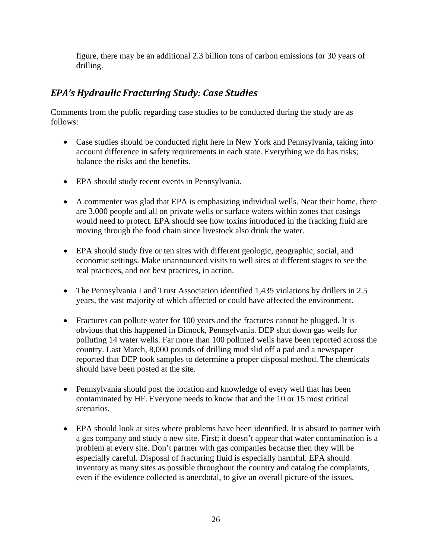figure, there may be an additional 2.3 billion tons of carbon emissions for 30 years of drilling.

### *EPA's Hydraulic Fracturing Study: Case Studies*

Comments from the public regarding case studies to be conducted during the study are as follows:

- Case studies should be conducted right here in New York and Pennsylvania, taking into account difference in safety requirements in each state. Everything we do has risks; balance the risks and the benefits.
- EPA should study recent events in Pennsylvania.
- A commenter was glad that EPA is emphasizing individual wells. Near their home, there are 3,000 people and all on private wells or surface waters within zones that casings would need to protect. EPA should see how toxins introduced in the fracking fluid are moving through the food chain since livestock also drink the water.
- EPA should study five or ten sites with different geologic, geographic, social, and economic settings. Make unannounced visits to well sites at different stages to see the real practices, and not best practices, in action.
- The Pennsylvania Land Trust Association identified 1,435 violations by drillers in 2.5 years, the vast majority of which affected or could have affected the environment.
- Fractures can pollute water for 100 years and the fractures cannot be plugged. It is obvious that this happened in Dimock, Pennsylvania. DEP shut down gas wells for polluting 14 water wells. Far more than 100 polluted wells have been reported across the country. Last March, 8,000 pounds of drilling mud slid off a pad and a newspaper reported that DEP took samples to determine a proper disposal method. The chemicals should have been posted at the site.
- Pennsylvania should post the location and knowledge of every well that has been contaminated by HF. Everyone needs to know that and the 10 or 15 most critical scenarios.
- EPA should look at sites where problems have been identified. It is absurd to partner with a gas company and study a new site. First; it doesn't appear that water contamination is a problem at every site. Don't partner with gas companies because then they will be especially careful. Disposal of fracturing fluid is especially harmful. EPA should inventory as many sites as possible throughout the country and catalog the complaints, even if the evidence collected is anecdotal, to give an overall picture of the issues.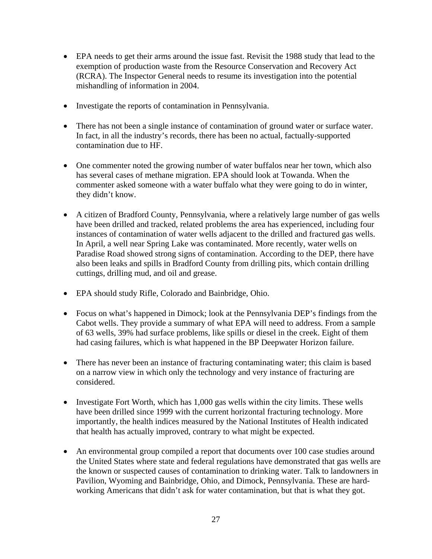- EPA needs to get their arms around the issue fast. Revisit the 1988 study that lead to the exemption of production waste from the Resource Conservation and Recovery Act (RCRA). The Inspector General needs to resume its investigation into the potential mishandling of information in 2004.
- Investigate the reports of contamination in Pennsylvania.
- There has not been a single instance of contamination of ground water or surface water. In fact, in all the industry's records, there has been no actual, factually-supported contamination due to HF.
- One commenter noted the growing number of water buffalos near her town, which also has several cases of methane migration. EPA should look at Towanda. When the commenter asked someone with a water buffalo what they were going to do in winter, they didn't know.
- A citizen of Bradford County, Pennsylvania, where a relatively large number of gas wells have been drilled and tracked, related problems the area has experienced, including four instances of contamination of water wells adjacent to the drilled and fractured gas wells. In April, a well near Spring Lake was contaminated. More recently, water wells on Paradise Road showed strong signs of contamination. According to the DEP, there have also been leaks and spills in Bradford County from drilling pits, which contain drilling cuttings, drilling mud, and oil and grease.
- EPA should study Rifle, Colorado and Bainbridge, Ohio.
- Focus on what's happened in Dimock; look at the Pennsylvania DEP's findings from the Cabot wells. They provide a summary of what EPA will need to address. From a sample of 63 wells, 39% had surface problems, like spills or diesel in the creek. Eight of them had casing failures, which is what happened in the BP Deepwater Horizon failure.
- There has never been an instance of fracturing contaminating water; this claim is based on a narrow view in which only the technology and very instance of fracturing are considered.
- Investigate Fort Worth, which has 1,000 gas wells within the city limits. These wells have been drilled since 1999 with the current horizontal fracturing technology. More importantly, the health indices measured by the National Institutes of Health indicated that health has actually improved, contrary to what might be expected.
- An environmental group compiled a report that documents over 100 case studies around the United States where state and federal regulations have demonstrated that gas wells are the known or suspected causes of contamination to drinking water. Talk to landowners in Pavilion, Wyoming and Bainbridge, Ohio, and Dimock, Pennsylvania. These are hardworking Americans that didn't ask for water contamination, but that is what they got.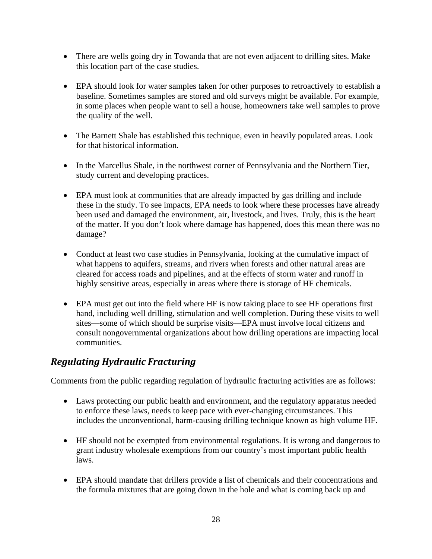- There are wells going dry in Towanda that are not even adjacent to drilling sites. Make this location part of the case studies.
- EPA should look for water samples taken for other purposes to retroactively to establish a baseline. Sometimes samples are stored and old surveys might be available. For example, in some places when people want to sell a house, homeowners take well samples to prove the quality of the well.
- The Barnett Shale has established this technique, even in heavily populated areas. Look for that historical information.
- In the Marcellus Shale, in the northwest corner of Pennsylvania and the Northern Tier, study current and developing practices.
- EPA must look at communities that are already impacted by gas drilling and include these in the study. To see impacts, EPA needs to look where these processes have already been used and damaged the environment, air, livestock, and lives. Truly, this is the heart of the matter. If you don't look where damage has happened, does this mean there was no damage?
- Conduct at least two case studies in Pennsylvania, looking at the cumulative impact of what happens to aquifers, streams, and rivers when forests and other natural areas are cleared for access roads and pipelines, and at the effects of storm water and runoff in highly sensitive areas, especially in areas where there is storage of HF chemicals.
- EPA must get out into the field where HF is now taking place to see HF operations first hand, including well drilling, stimulation and well completion. During these visits to well sites—some of which should be surprise visits—EPA must involve local citizens and consult nongovernmental organizations about how drilling operations are impacting local communities.

## *Regulating Hydraulic Fracturing*

Comments from the public regarding regulation of hydraulic fracturing activities are as follows:

- Laws protecting our public health and environment, and the regulatory apparatus needed to enforce these laws, needs to keep pace with ever-changing circumstances. This includes the unconventional, harm-causing drilling technique known as high volume HF.
- HF should not be exempted from environmental regulations. It is wrong and dangerous to grant industry wholesale exemptions from our country's most important public health laws.
- EPA should mandate that drillers provide a list of chemicals and their concentrations and the formula mixtures that are going down in the hole and what is coming back up and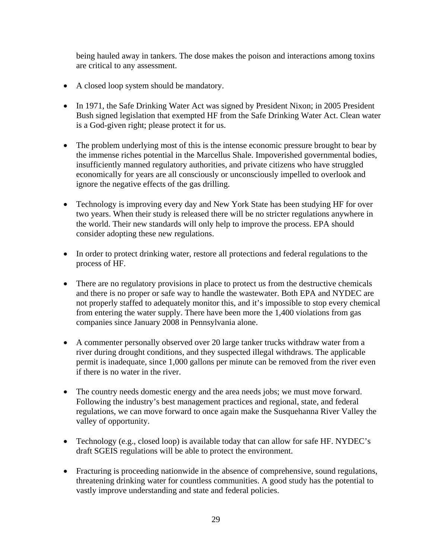being hauled away in tankers. The dose makes the poison and interactions among toxins are critical to any assessment.

- A closed loop system should be mandatory.
- In 1971, the Safe Drinking Water Act was signed by President Nixon; in 2005 President Bush signed legislation that exempted HF from the Safe Drinking Water Act. Clean water is a God-given right; please protect it for us.
- The problem underlying most of this is the intense economic pressure brought to bear by the immense riches potential in the Marcellus Shale. Impoverished governmental bodies, insufficiently manned regulatory authorities, and private citizens who have struggled economically for years are all consciously or unconsciously impelled to overlook and ignore the negative effects of the gas drilling.
- Technology is improving every day and New York State has been studying HF for over two years. When their study is released there will be no stricter regulations anywhere in the world. Their new standards will only help to improve the process. EPA should consider adopting these new regulations.
- In order to protect drinking water, restore all protections and federal regulations to the process of HF.
- There are no regulatory provisions in place to protect us from the destructive chemicals and there is no proper or safe way to handle the wastewater. Both EPA and NYDEC are not properly staffed to adequately monitor this, and it's impossible to stop every chemical from entering the water supply. There have been more the 1,400 violations from gas companies since January 2008 in Pennsylvania alone.
- A commenter personally observed over 20 large tanker trucks withdraw water from a river during drought conditions, and they suspected illegal withdraws. The applicable permit is inadequate, since 1,000 gallons per minute can be removed from the river even if there is no water in the river.
- The country needs domestic energy and the area needs jobs; we must move forward. Following the industry's best management practices and regional, state, and federal regulations, we can move forward to once again make the Susquehanna River Valley the valley of opportunity.
- Technology (e.g., closed loop) is available today that can allow for safe HF. NYDEC's draft SGEIS regulations will be able to protect the environment.
- Fracturing is proceeding nationwide in the absence of comprehensive, sound regulations, threatening drinking water for countless communities. A good study has the potential to vastly improve understanding and state and federal policies.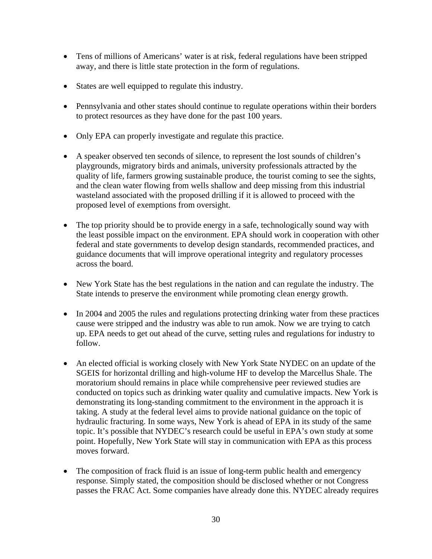- Tens of millions of Americans' water is at risk, federal regulations have been stripped away, and there is little state protection in the form of regulations.
- States are well equipped to regulate this industry.
- Pennsylvania and other states should continue to regulate operations within their borders to protect resources as they have done for the past 100 years.
- Only EPA can properly investigate and regulate this practice.
- A speaker observed ten seconds of silence, to represent the lost sounds of children's playgrounds, migratory birds and animals, university professionals attracted by the quality of life, farmers growing sustainable produce, the tourist coming to see the sights, and the clean water flowing from wells shallow and deep missing from this industrial wasteland associated with the proposed drilling if it is allowed to proceed with the proposed level of exemptions from oversight.
- The top priority should be to provide energy in a safe, technologically sound way with the least possible impact on the environment. EPA should work in cooperation with other federal and state governments to develop design standards, recommended practices, and guidance documents that will improve operational integrity and regulatory processes across the board.
- New York State has the best regulations in the nation and can regulate the industry. The State intends to preserve the environment while promoting clean energy growth.
- In 2004 and 2005 the rules and regulations protecting drinking water from these practices cause were stripped and the industry was able to run amok. Now we are trying to catch up. EPA needs to get out ahead of the curve, setting rules and regulations for industry to follow.
- An elected official is working closely with New York State NYDEC on an update of the SGEIS for horizontal drilling and high-volume HF to develop the Marcellus Shale. The moratorium should remains in place while comprehensive peer reviewed studies are conducted on topics such as drinking water quality and cumulative impacts. New York is demonstrating its long-standing commitment to the environment in the approach it is taking. A study at the federal level aims to provide national guidance on the topic of hydraulic fracturing. In some ways, New York is ahead of EPA in its study of the same topic. It's possible that NYDEC's research could be useful in EPA's own study at some point. Hopefully, New York State will stay in communication with EPA as this process moves forward.
- The composition of frack fluid is an issue of long-term public health and emergency response. Simply stated, the composition should be disclosed whether or not Congress passes the FRAC Act. Some companies have already done this. NYDEC already requires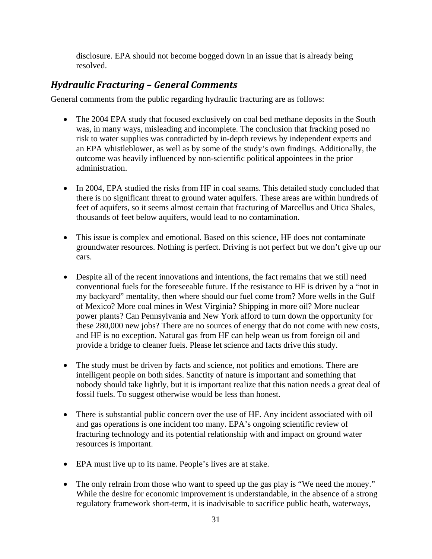disclosure. EPA should not become bogged down in an issue that is already being resolved.

### *Hydraulic Fracturing – General Comments*

General comments from the public regarding hydraulic fracturing are as follows:

- The 2004 EPA study that focused exclusively on coal bed methane deposits in the South was, in many ways, misleading and incomplete. The conclusion that fracking posed no risk to water supplies was contradicted by in-depth reviews by independent experts and an EPA whistleblower, as well as by some of the study's own findings. Additionally, the outcome was heavily influenced by non-scientific political appointees in the prior administration.
- In 2004, EPA studied the risks from HF in coal seams. This detailed study concluded that there is no significant threat to ground water aquifers. These areas are within hundreds of feet of aquifers, so it seems almost certain that fracturing of Marcellus and Utica Shales, thousands of feet below aquifers, would lead to no contamination.
- This issue is complex and emotional. Based on this science, HF does not contaminate groundwater resources. Nothing is perfect. Driving is not perfect but we don't give up our cars.
- Despite all of the recent innovations and intentions, the fact remains that we still need conventional fuels for the foreseeable future. If the resistance to HF is driven by a "not in my backyard" mentality, then where should our fuel come from? More wells in the Gulf of Mexico? More coal mines in West Virginia? Shipping in more oil? More nuclear power plants? Can Pennsylvania and New York afford to turn down the opportunity for these 280,000 new jobs? There are no sources of energy that do not come with new costs, and HF is no exception. Natural gas from HF can help wean us from foreign oil and provide a bridge to cleaner fuels. Please let science and facts drive this study.
- The study must be driven by facts and science, not politics and emotions. There are intelligent people on both sides. Sanctity of nature is important and something that nobody should take lightly, but it is important realize that this nation needs a great deal of fossil fuels. To suggest otherwise would be less than honest.
- There is substantial public concern over the use of HF. Any incident associated with oil and gas operations is one incident too many. EPA's ongoing scientific review of fracturing technology and its potential relationship with and impact on ground water resources is important.
- EPA must live up to its name. People's lives are at stake.
- The only refrain from those who want to speed up the gas play is "We need the money." While the desire for economic improvement is understandable, in the absence of a strong regulatory framework short-term, it is inadvisable to sacrifice public heath, waterways,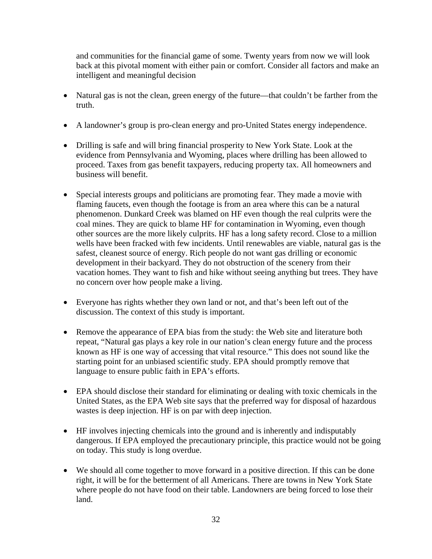and communities for the financial game of some. Twenty years from now we will look back at this pivotal moment with either pain or comfort. Consider all factors and make an intelligent and meaningful decision

- Natural gas is not the clean, green energy of the future—that couldn't be farther from the truth.
- A landowner's group is pro-clean energy and pro-United States energy independence.
- Drilling is safe and will bring financial prosperity to New York State. Look at the evidence from Pennsylvania and Wyoming, places where drilling has been allowed to proceed. Taxes from gas benefit taxpayers, reducing property tax. All homeowners and business will benefit.
- Special interests groups and politicians are promoting fear. They made a movie with flaming faucets, even though the footage is from an area where this can be a natural phenomenon. Dunkard Creek was blamed on HF even though the real culprits were the coal mines. They are quick to blame HF for contamination in Wyoming, even though other sources are the more likely culprits. HF has a long safety record. Close to a million wells have been fracked with few incidents. Until renewables are viable, natural gas is the safest, cleanest source of energy. Rich people do not want gas drilling or economic development in their backyard. They do not obstruction of the scenery from their vacation homes. They want to fish and hike without seeing anything but trees. They have no concern over how people make a living.
- Everyone has rights whether they own land or not, and that's been left out of the discussion. The context of this study is important.
- Remove the appearance of EPA bias from the study: the Web site and literature both repeat, "Natural gas plays a key role in our nation's clean energy future and the process known as HF is one way of accessing that vital resource." This does not sound like the starting point for an unbiased scientific study. EPA should promptly remove that language to ensure public faith in EPA's efforts.
- EPA should disclose their standard for eliminating or dealing with toxic chemicals in the United States, as the EPA Web site says that the preferred way for disposal of hazardous wastes is deep injection. HF is on par with deep injection.
- HF involves injecting chemicals into the ground and is inherently and indisputably dangerous. If EPA employed the precautionary principle, this practice would not be going on today. This study is long overdue.
- We should all come together to move forward in a positive direction. If this can be done right, it will be for the betterment of all Americans. There are towns in New York State where people do not have food on their table. Landowners are being forced to lose their land.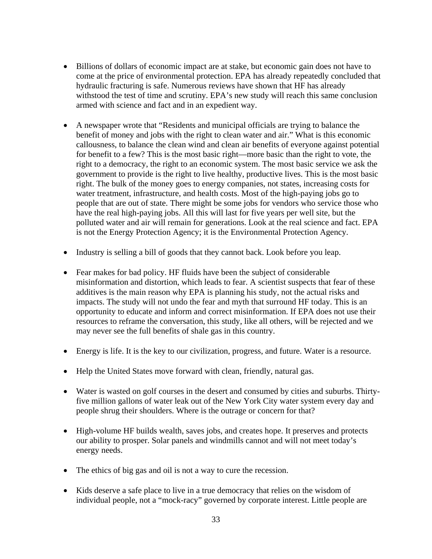- Billions of dollars of economic impact are at stake, but economic gain does not have to come at the price of environmental protection. EPA has already repeatedly concluded that hydraulic fracturing is safe. Numerous reviews have shown that HF has already withstood the test of time and scrutiny. EPA's new study will reach this same conclusion armed with science and fact and in an expedient way.
- A newspaper wrote that "Residents and municipal officials are trying to balance the benefit of money and jobs with the right to clean water and air." What is this economic callousness, to balance the clean wind and clean air benefits of everyone against potential for benefit to a few? This is the most basic right—more basic than the right to vote, the right to a democracy, the right to an economic system. The most basic service we ask the government to provide is the right to live healthy, productive lives. This is the most basic right. The bulk of the money goes to energy companies, not states, increasing costs for water treatment, infrastructure, and health costs. Most of the high-paying jobs go to people that are out of state. There might be some jobs for vendors who service those who have the real high-paying jobs. All this will last for five years per well site, but the polluted water and air will remain for generations. Look at the real science and fact. EPA is not the Energy Protection Agency; it is the Environmental Protection Agency.
- Industry is selling a bill of goods that they cannot back. Look before you leap.
- Fear makes for bad policy. HF fluids have been the subject of considerable misinformation and distortion, which leads to fear. A scientist suspects that fear of these additives is the main reason why EPA is planning his study, not the actual risks and impacts. The study will not undo the fear and myth that surround HF today. This is an opportunity to educate and inform and correct misinformation. If EPA does not use their resources to reframe the conversation, this study, like all others, will be rejected and we may never see the full benefits of shale gas in this country.
- Energy is life. It is the key to our civilization, progress, and future. Water is a resource.
- Help the United States move forward with clean, friendly, natural gas.
- Water is wasted on golf courses in the desert and consumed by cities and suburbs. Thirtyfive million gallons of water leak out of the New York City water system every day and people shrug their shoulders. Where is the outrage or concern for that?
- High-volume HF builds wealth, saves jobs, and creates hope. It preserves and protects our ability to prosper. Solar panels and windmills cannot and will not meet today's energy needs.
- The ethics of big gas and oil is not a way to cure the recession.
- Kids deserve a safe place to live in a true democracy that relies on the wisdom of individual people, not a "mock-racy" governed by corporate interest. Little people are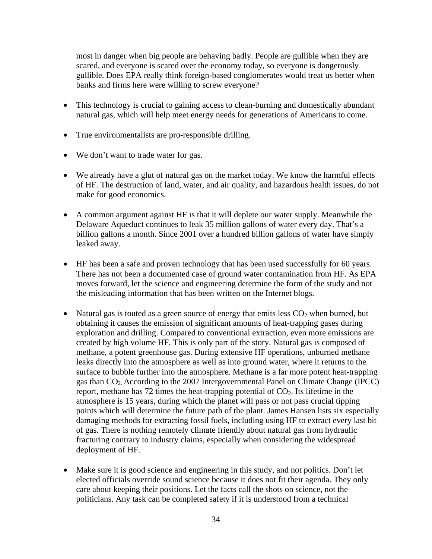most in danger when big people are behaving badly. People are gullible when they are scared, and everyone is scared over the economy today, so everyone is dangerously gullible. Does EPA really think foreign-based conglomerates would treat us better when banks and firms here were willing to screw everyone?

- This technology is crucial to gaining access to clean-burning and domestically abundant natural gas, which will help meet energy needs for generations of Americans to come.
- True environmentalists are pro-responsible drilling.
- We don't want to trade water for gas.
- We already have a glut of natural gas on the market today. We know the harmful effects of HF. The destruction of land, water, and air quality, and hazardous health issues, do not make for good economics.
- A common argument against HF is that it will deplete our water supply. Meanwhile the Delaware Aqueduct continues to leak 35 million gallons of water every day. That's a billion gallons a month. Since 2001 over a hundred billion gallons of water have simply leaked away.
- HF has been a safe and proven technology that has been used successfully for 60 years. There has not been a documented case of ground water contamination from HF. As EPA moves forward, let the science and engineering determine the form of the study and not the misleading information that has been written on the Internet blogs.
- Natural gas is touted as a green source of energy that emits less  $CO<sub>2</sub>$  when burned, but obtaining it causes the emission of significant amounts of heat-trapping gases during exploration and drilling. Compared to conventional extraction, even more emissions are created by high volume HF. This is only part of the story. Natural gas is composed of methane, a potent greenhouse gas. During extensive HF operations, unburned methane leaks directly into the atmosphere as well as into ground water, where it returns to the surface to bubble further into the atmosphere. Methane is a far more potent heat-trapping gas than CO2. According to the 2007 Intergovernmental Panel on Climate Change (IPCC) report, methane has 72 times the heat-trapping potential of  $CO<sub>2</sub>$ . Its lifetime in the atmosphere is 15 years, during which the planet will pass or not pass crucial tipping points which will determine the future path of the plant. James Hansen lists six especially damaging methods for extracting fossil fuels, including using HF to extract every last bit of gas. There is nothing remotely climate friendly about natural gas from hydraulic fracturing contrary to industry claims, especially when considering the widespread deployment of HF.
- Make sure it is good science and engineering in this study, and not politics. Don't let elected officials override sound science because it does not fit their agenda. They only care about keeping their positions. Let the facts call the shots on science, not the politicians. Any task can be completed safety if it is understood from a technical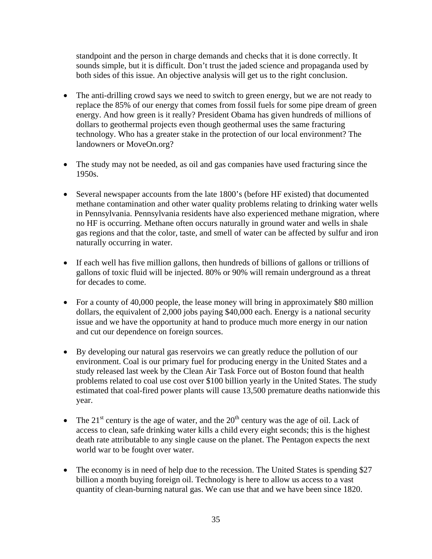standpoint and the person in charge demands and checks that it is done correctly. It sounds simple, but it is difficult. Don't trust the jaded science and propaganda used by both sides of this issue. An objective analysis will get us to the right conclusion.

- The anti-drilling crowd says we need to switch to green energy, but we are not ready to replace the 85% of our energy that comes from fossil fuels for some pipe dream of green energy. And how green is it really? President Obama has given hundreds of millions of dollars to geothermal projects even though geothermal uses the same fracturing technology. Who has a greater stake in the protection of our local environment? The landowners or MoveOn.org?
- The study may not be needed, as oil and gas companies have used fracturing since the 1950s.
- Several newspaper accounts from the late 1800's (before HF existed) that documented methane contamination and other water quality problems relating to drinking water wells in Pennsylvania. Pennsylvania residents have also experienced methane migration, where no HF is occurring. Methane often occurs naturally in ground water and wells in shale gas regions and that the color, taste, and smell of water can be affected by sulfur and iron naturally occurring in water.
- If each well has five million gallons, then hundreds of billions of gallons or trillions of gallons of toxic fluid will be injected. 80% or 90% will remain underground as a threat for decades to come.
- For a county of 40,000 people, the lease money will bring in approximately \$80 million dollars, the equivalent of 2,000 jobs paying \$40,000 each. Energy is a national security issue and we have the opportunity at hand to produce much more energy in our nation and cut our dependence on foreign sources.
- By developing our natural gas reservoirs we can greatly reduce the pollution of our environment. Coal is our primary fuel for producing energy in the United States and a study released last week by the Clean Air Task Force out of Boston found that health problems related to coal use cost over \$100 billion yearly in the United States. The study estimated that coal-fired power plants will cause 13,500 premature deaths nationwide this year.
- The 21<sup>st</sup> century is the age of water, and the  $20<sup>th</sup>$  century was the age of oil. Lack of access to clean, safe drinking water kills a child every eight seconds; this is the highest death rate attributable to any single cause on the planet. The Pentagon expects the next world war to be fought over water.
- The economy is in need of help due to the recession. The United States is spending \$27 billion a month buying foreign oil. Technology is here to allow us access to a vast quantity of clean-burning natural gas. We can use that and we have been since 1820.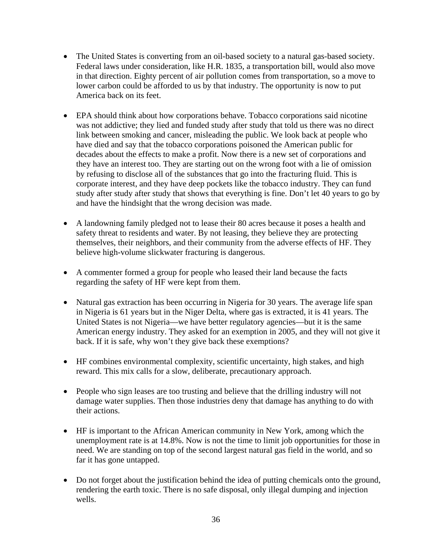- The United States is converting from an oil-based society to a natural gas-based society. Federal laws under consideration, like H.R. 1835, a transportation bill, would also move in that direction. Eighty percent of air pollution comes from transportation, so a move to lower carbon could be afforded to us by that industry. The opportunity is now to put America back on its feet.
- EPA should think about how corporations behave. Tobacco corporations said nicotine was not addictive; they lied and funded study after study that told us there was no direct link between smoking and cancer, misleading the public. We look back at people who have died and say that the tobacco corporations poisoned the American public for decades about the effects to make a profit. Now there is a new set of corporations and they have an interest too. They are starting out on the wrong foot with a lie of omission by refusing to disclose all of the substances that go into the fracturing fluid. This is corporate interest, and they have deep pockets like the tobacco industry. They can fund study after study after study that shows that everything is fine. Don't let 40 years to go by and have the hindsight that the wrong decision was made.
- A landowning family pledged not to lease their 80 acres because it poses a health and safety threat to residents and water. By not leasing, they believe they are protecting themselves, their neighbors, and their community from the adverse effects of HF. They believe high-volume slickwater fracturing is dangerous.
- A commenter formed a group for people who leased their land because the facts regarding the safety of HF were kept from them.
- Natural gas extraction has been occurring in Nigeria for 30 years. The average life span in Nigeria is 61 years but in the Niger Delta, where gas is extracted, it is 41 years. The United States is not Nigeria—we have better regulatory agencies—but it is the same American energy industry. They asked for an exemption in 2005, and they will not give it back. If it is safe, why won't they give back these exemptions?
- HF combines environmental complexity, scientific uncertainty, high stakes, and high reward. This mix calls for a slow, deliberate, precautionary approach.
- People who sign leases are too trusting and believe that the drilling industry will not damage water supplies. Then those industries deny that damage has anything to do with their actions.
- HF is important to the African American community in New York, among which the unemployment rate is at 14.8%. Now is not the time to limit job opportunities for those in need. We are standing on top of the second largest natural gas field in the world, and so far it has gone untapped.
- Do not forget about the justification behind the idea of putting chemicals onto the ground, rendering the earth toxic. There is no safe disposal, only illegal dumping and injection wells.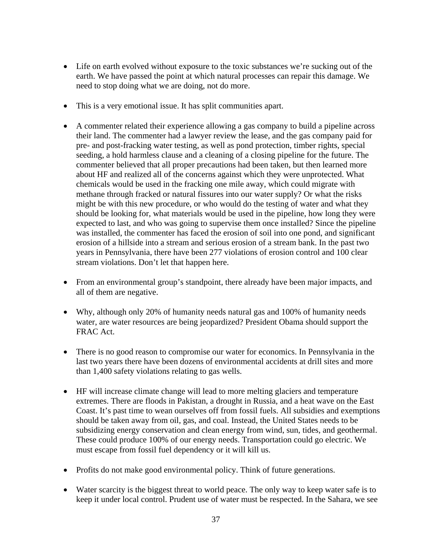- Life on earth evolved without exposure to the toxic substances we're sucking out of the earth. We have passed the point at which natural processes can repair this damage. We need to stop doing what we are doing, not do more.
- This is a very emotional issue. It has split communities apart.
- A commenter related their experience allowing a gas company to build a pipeline across their land. The commenter had a lawyer review the lease, and the gas company paid for pre- and post-fracking water testing, as well as pond protection, timber rights, special seeding, a hold harmless clause and a cleaning of a closing pipeline for the future. The commenter believed that all proper precautions had been taken, but then learned more about HF and realized all of the concerns against which they were unprotected. What chemicals would be used in the fracking one mile away, which could migrate with methane through fracked or natural fissures into our water supply? Or what the risks might be with this new procedure, or who would do the testing of water and what they should be looking for, what materials would be used in the pipeline, how long they were expected to last, and who was going to supervise them once installed? Since the pipeline was installed, the commenter has faced the erosion of soil into one pond, and significant erosion of a hillside into a stream and serious erosion of a stream bank. In the past two years in Pennsylvania, there have been 277 violations of erosion control and 100 clear stream violations. Don't let that happen here.
- From an environmental group's standpoint, there already have been major impacts, and all of them are negative.
- Why, although only 20% of humanity needs natural gas and 100% of humanity needs water, are water resources are being jeopardized? President Obama should support the FRAC Act.
- There is no good reason to compromise our water for economics. In Pennsylvania in the last two years there have been dozens of environmental accidents at drill sites and more than 1,400 safety violations relating to gas wells.
- HF will increase climate change will lead to more melting glaciers and temperature extremes. There are floods in Pakistan, a drought in Russia, and a heat wave on the East Coast. It's past time to wean ourselves off from fossil fuels. All subsidies and exemptions should be taken away from oil, gas, and coal. Instead, the United States needs to be subsidizing energy conservation and clean energy from wind, sun, tides, and geothermal. These could produce 100% of our energy needs. Transportation could go electric. We must escape from fossil fuel dependency or it will kill us.
- Profits do not make good environmental policy. Think of future generations.
- Water scarcity is the biggest threat to world peace. The only way to keep water safe is to keep it under local control. Prudent use of water must be respected. In the Sahara, we see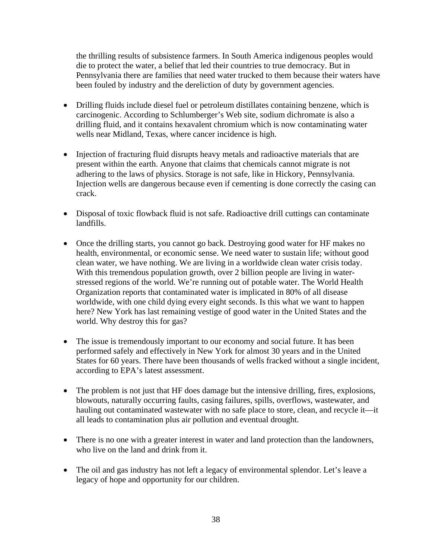the thrilling results of subsistence farmers. In South America indigenous peoples would die to protect the water, a belief that led their countries to true democracy. But in Pennsylvania there are families that need water trucked to them because their waters have been fouled by industry and the dereliction of duty by government agencies.

- Drilling fluids include diesel fuel or petroleum distillates containing benzene, which is carcinogenic. According to Schlumberger's Web site, sodium dichromate is also a drilling fluid, and it contains hexavalent chromium which is now contaminating water wells near Midland, Texas, where cancer incidence is high.
- Injection of fracturing fluid disrupts heavy metals and radioactive materials that are present within the earth. Anyone that claims that chemicals cannot migrate is not adhering to the laws of physics. Storage is not safe, like in Hickory, Pennsylvania. Injection wells are dangerous because even if cementing is done correctly the casing can crack.
- Disposal of toxic flowback fluid is not safe. Radioactive drill cuttings can contaminate landfills.
- Once the drilling starts, you cannot go back. Destroying good water for HF makes no health, environmental, or economic sense. We need water to sustain life; without good clean water, we have nothing. We are living in a worldwide clean water crisis today. With this tremendous population growth, over 2 billion people are living in waterstressed regions of the world. We're running out of potable water. The World Health Organization reports that contaminated water is implicated in 80% of all disease worldwide, with one child dying every eight seconds. Is this what we want to happen here? New York has last remaining vestige of good water in the United States and the world. Why destroy this for gas?
- The issue is tremendously important to our economy and social future. It has been performed safely and effectively in New York for almost 30 years and in the United States for 60 years. There have been thousands of wells fracked without a single incident, according to EPA's latest assessment.
- The problem is not just that HF does damage but the intensive drilling, fires, explosions, blowouts, naturally occurring faults, casing failures, spills, overflows, wastewater, and hauling out contaminated wastewater with no safe place to store, clean, and recycle it—it all leads to contamination plus air pollution and eventual drought.
- There is no one with a greater interest in water and land protection than the landowners, who live on the land and drink from it.
- The oil and gas industry has not left a legacy of environmental splendor. Let's leave a legacy of hope and opportunity for our children.